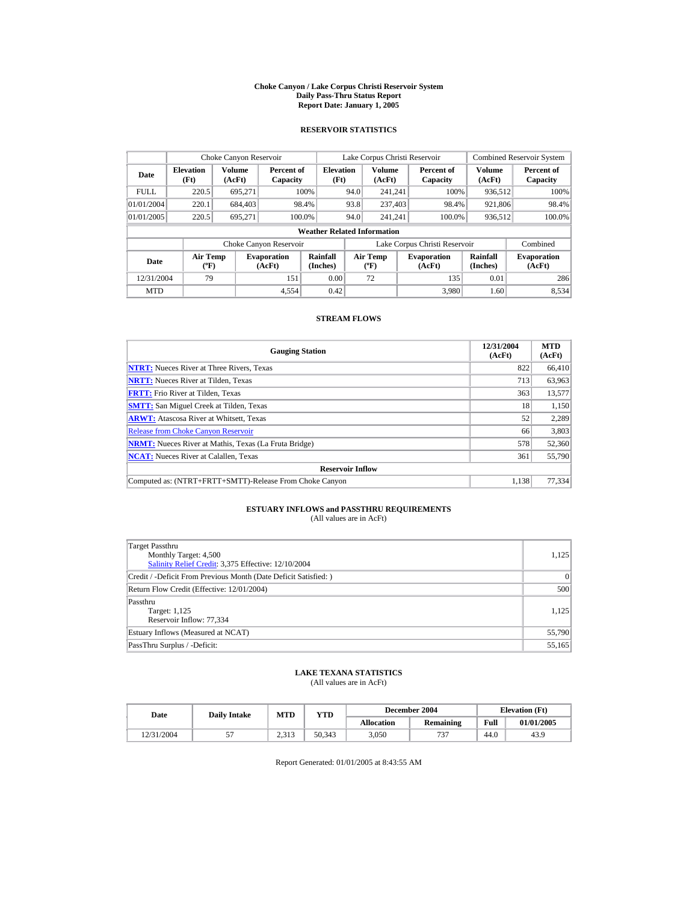#### **Choke Canyon / Lake Corpus Christi Reservoir System Daily Pass-Thru Status Report Report Date: January 1, 2005**

## **RESERVOIR STATISTICS**

| Choke Canyon Reservoir |                                  |                  |                              |                                    |      | Lake Corpus Christi Reservoir    |                               |                             | <b>Combined Reservoir System</b> |
|------------------------|----------------------------------|------------------|------------------------------|------------------------------------|------|----------------------------------|-------------------------------|-----------------------------|----------------------------------|
| Date                   | <b>Elevation</b><br>(Ft)         | Volume<br>(AcFt) | Percent of<br>Capacity       | <b>Elevation</b><br>(Ft)           |      | Volume<br>(AcFt)                 | Percent of<br>Capacity        | Volume<br>(AcFt)            | Percent of<br>Capacity           |
| <b>FULL</b>            | 220.5                            | 695.271          |                              | 100%                               | 94.0 | 241.241                          | 100%                          | 936,512                     | 100%                             |
| 01/01/2004             | 220.1                            | 684,403          |                              | 98.4%                              | 93.8 | 237,403                          | 98.4%                         | 921,806                     | 98.4%                            |
| 01/01/2005             | 220.5                            | 695.271          |                              | 100.0%                             | 94.0 | 241.241                          | 100.0%                        | 936,512                     | 100.0%                           |
|                        |                                  |                  |                              | <b>Weather Related Information</b> |      |                                  |                               |                             |                                  |
|                        |                                  |                  | Choke Canyon Reservoir       |                                    |      |                                  | Lake Corpus Christi Reservoir |                             | Combined                         |
| Date                   | <b>Air Temp</b><br>$(^{\circ}F)$ |                  | <b>Evaporation</b><br>(AcFt) | Rainfall<br>(Inches)               |      | <b>Air Temp</b><br>$(^{\circ}F)$ | <b>Evaporation</b><br>(AcFt)  | <b>Rainfall</b><br>(Inches) | <b>Evaporation</b><br>(AcFt)     |
| 12/31/2004             | 79                               |                  | 151                          | 0.00                               |      | 72                               | 135                           | 0.01                        | 286                              |
| <b>MTD</b>             |                                  |                  | 4.554                        | 0.42                               |      |                                  | 3.980                         | 1.60                        | 8.534                            |

## **STREAM FLOWS**

| <b>Gauging Station</b>                                       | 12/31/2004<br>(AcFt) | <b>MTD</b><br>(AcFt) |
|--------------------------------------------------------------|----------------------|----------------------|
| <b>NTRT:</b> Nueces River at Three Rivers, Texas             | 822                  | 66,410               |
| <b>NRTT:</b> Nueces River at Tilden, Texas                   | 713                  | 63,963               |
| <b>FRTT:</b> Frio River at Tilden, Texas                     | 363                  | 13,577               |
| <b>SMTT:</b> San Miguel Creek at Tilden, Texas               | 18                   | 1,150                |
| <b>ARWT:</b> Atascosa River at Whitsett, Texas               | 52                   | 2,289                |
| <b>Release from Choke Canvon Reservoir</b>                   | 66                   | 3,803                |
| <b>NRMT:</b> Nueces River at Mathis, Texas (La Fruta Bridge) | 578                  | 52,360               |
| <b>NCAT:</b> Nueces River at Calallen, Texas                 | 361                  | 55,790               |
| <b>Reservoir Inflow</b>                                      |                      |                      |
| Computed as: (NTRT+FRTT+SMTT)-Release From Choke Canyon      | 1.138                | 77.334               |

# **ESTUARY INFLOWS and PASSTHRU REQUIREMENTS**<br>(All values are in AcFt)

| Target Passthru<br>Monthly Target: 4,500<br>Salinity Relief Credit: 3,375 Effective: 12/10/2004 | 1,125  |
|-------------------------------------------------------------------------------------------------|--------|
| Credit / -Deficit From Previous Month (Date Deficit Satisfied: )                                | 0      |
| Return Flow Credit (Effective: 12/01/2004)                                                      | 500    |
| Passthru<br>Target: 1,125<br>Reservoir Inflow: 77,334                                           | 1.125  |
| Estuary Inflows (Measured at NCAT)                                                              | 55,790 |
| PassThru Surplus / -Deficit:                                                                    | 55,165 |

## **LAKE TEXANA STATISTICS**

(All values are in AcFt)

| Date       | <b>Daily Intake</b> | <b>MTD</b>       | December 2004<br>$_{\rm VTD}$ |                   |           |      | <b>Elevation</b> (Ft) |
|------------|---------------------|------------------|-------------------------------|-------------------|-----------|------|-----------------------|
|            |                     |                  |                               | <b>Allocation</b> | Remaining | Full | 01/01/2005            |
| 12/31/2004 |                     | n 212<br>د د د . | 50.343                        | 3.050             | 737       | 44.0 | 43.9                  |

Report Generated: 01/01/2005 at 8:43:55 AM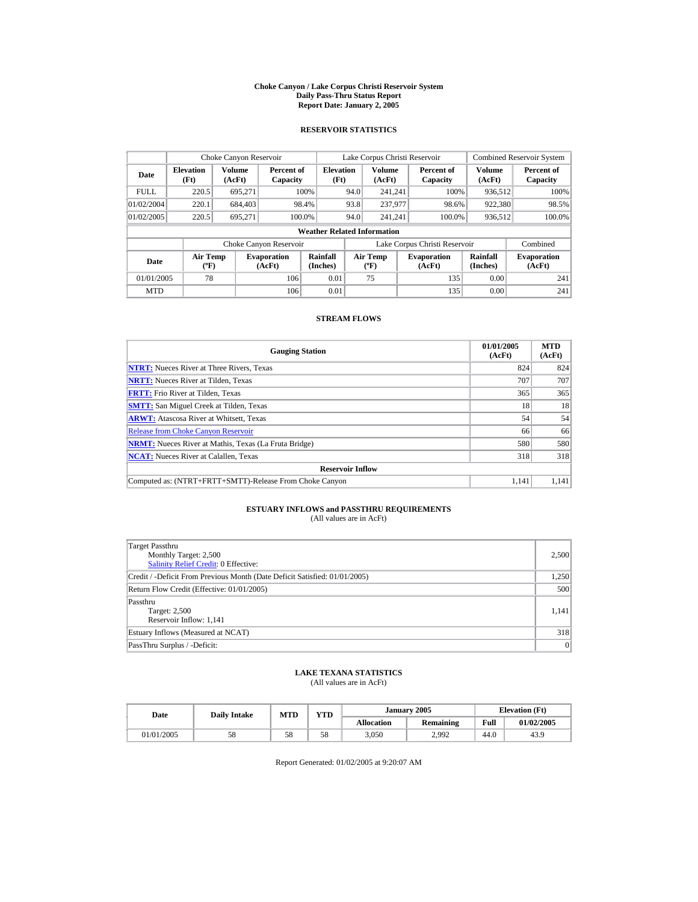#### **Choke Canyon / Lake Corpus Christi Reservoir System Daily Pass-Thru Status Report Report Date: January 2, 2005**

## **RESERVOIR STATISTICS**

|            | Choke Canyon Reservoir                      |                         |                              |                                    |      | Lake Corpus Christi Reservoir     |                               |                         | <b>Combined Reservoir System</b> |
|------------|---------------------------------------------|-------------------------|------------------------------|------------------------------------|------|-----------------------------------|-------------------------------|-------------------------|----------------------------------|
| Date       | <b>Elevation</b><br>(Ft)                    | <b>Volume</b><br>(AcFt) | Percent of<br>Capacity       | <b>Elevation</b><br>(Ft)           |      | <b>Volume</b><br>(AcFt)           | Percent of<br>Capacity        | <b>Volume</b><br>(AcFt) | Percent of<br>Capacity           |
| FULL.      | 220.5                                       | 695.271                 |                              | 100%                               | 94.0 | 241.241                           | 100%                          | 936,512                 | 100%                             |
| 01/02/2004 | 220.1                                       | 684,403                 |                              | 98.4%                              | 93.8 | 237,977                           | 98.6%                         | 922,380                 | 98.5%                            |
| 01/02/2005 | 220.5                                       | 695.271                 | 100.0%                       |                                    | 94.0 | 241.241                           | 100.0%                        | 936,512                 | 100.0%                           |
|            |                                             |                         |                              | <b>Weather Related Information</b> |      |                                   |                               |                         |                                  |
|            |                                             |                         | Choke Canyon Reservoir       |                                    |      |                                   | Lake Corpus Christi Reservoir |                         | Combined                         |
| Date       | <b>Air Temp</b><br>$({}^{\circ}\mathrm{F})$ |                         | <b>Evaporation</b><br>(AcFt) | Rainfall<br>(Inches)               |      | Air Temp<br>$({}^{\circ}{\rm F})$ | <b>Evaporation</b><br>(AcFt)  | Rainfall<br>(Inches)    | <b>Evaporation</b><br>(AcFt)     |
| 01/01/2005 | 78                                          |                         | 106                          | 0.01                               |      | 75                                | 135                           | 0.00                    | 241                              |
| <b>MTD</b> |                                             |                         | 106                          | 0.01                               |      |                                   | 135                           | 0.00                    | 241                              |

## **STREAM FLOWS**

| <b>Gauging Station</b>                                       | 01/01/2005<br>(AcFt) | <b>MTD</b><br>(AcFt) |
|--------------------------------------------------------------|----------------------|----------------------|
| <b>NTRT:</b> Nueces River at Three Rivers, Texas             | 824                  | 824                  |
| <b>NRTT:</b> Nueces River at Tilden, Texas                   | 707                  | 707                  |
| <b>FRTT:</b> Frio River at Tilden, Texas                     | 365                  | 365                  |
| <b>SMTT:</b> San Miguel Creek at Tilden, Texas               | 18                   | 18                   |
| <b>ARWT:</b> Atascosa River at Whitsett, Texas               | 54                   | 54                   |
| <b>Release from Choke Canyon Reservoir</b>                   | 66                   | 66                   |
| <b>NRMT:</b> Nueces River at Mathis, Texas (La Fruta Bridge) | 580                  | 580                  |
| <b>NCAT:</b> Nueces River at Calallen, Texas                 | 318                  | 318                  |
| <b>Reservoir Inflow</b>                                      |                      |                      |
| Computed as: (NTRT+FRTT+SMTT)-Release From Choke Canyon      | 1.141                | 1.141                |

# **ESTUARY INFLOWS and PASSTHRU REQUIREMENTS**<br>(All values are in AcFt)

| Target Passthru<br>Monthly Target: 2,500<br><b>Salinity Relief Credit: 0 Effective:</b> | 2,500 |
|-----------------------------------------------------------------------------------------|-------|
| Credit / -Deficit From Previous Month (Date Deficit Satisfied: 01/01/2005)              | 1,250 |
| Return Flow Credit (Effective: 01/01/2005)                                              | 500   |
| Passthru<br>Target: 2,500<br>Reservoir Inflow: 1,141                                    | 1.141 |
| Estuary Inflows (Measured at NCAT)                                                      | 318   |
| PassThru Surplus / -Deficit:                                                            | 0     |

## **LAKE TEXANA STATISTICS**

(All values are in AcFt)

| Date       | <b>Daily Intake</b> | <b>MTD</b> | YTD |                   | January 2005 | <b>Elevation</b> (Ft) |            |
|------------|---------------------|------------|-----|-------------------|--------------|-----------------------|------------|
|            |                     |            |     | <b>Allocation</b> | Remaining    | Full                  | 01/02/2005 |
| 01/01/2005 | 58                  | 58         | 58  | 3,050             | 2.992        | 44.6                  | 43.9       |

Report Generated: 01/02/2005 at 9:20:07 AM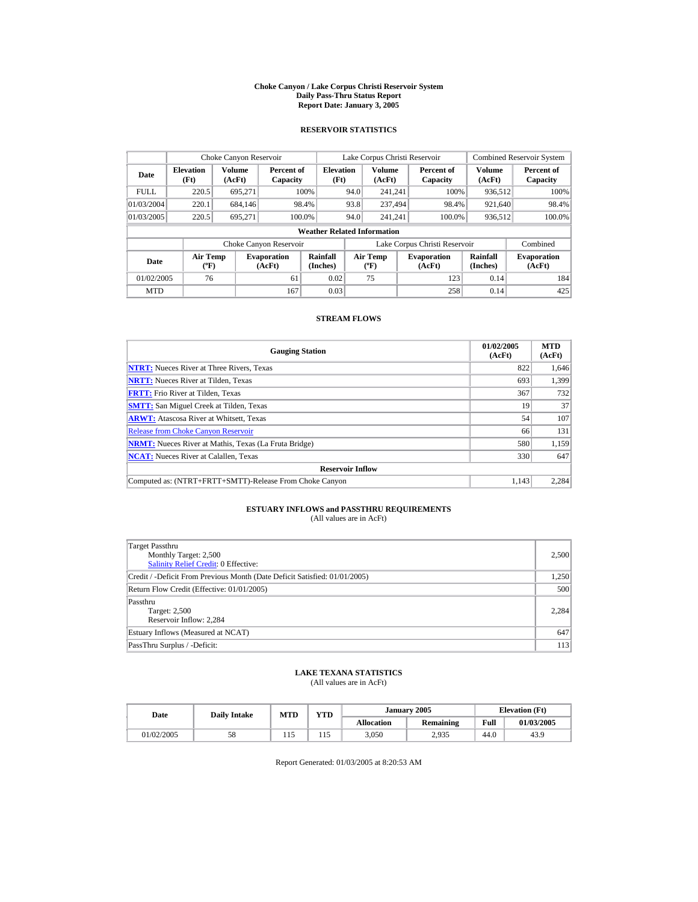#### **Choke Canyon / Lake Corpus Christi Reservoir System Daily Pass-Thru Status Report Report Date: January 3, 2005**

## **RESERVOIR STATISTICS**

| Choke Canyon Reservoir |                                             |                         |                              |                                    |      | Lake Corpus Christi Reservoir            |                               |                         | <b>Combined Reservoir System</b> |
|------------------------|---------------------------------------------|-------------------------|------------------------------|------------------------------------|------|------------------------------------------|-------------------------------|-------------------------|----------------------------------|
| Date                   | <b>Elevation</b><br>(Ft)                    | <b>Volume</b><br>(AcFt) | Percent of<br>Capacity       | <b>Elevation</b><br>(Ft)           |      | Volume<br>(AcFt)                         | Percent of<br>Capacity        | <b>Volume</b><br>(AcFt) | Percent of<br>Capacity           |
| <b>FULL</b>            | 220.5                                       | 695,271                 |                              | 100%                               | 94.0 | 241.241                                  | 100%                          | 936.512                 | 100%                             |
| 01/03/2004             | 220.1                                       | 684,146                 |                              | 98.4%                              | 93.8 | 237.494                                  | 98.4%                         | 921,640                 | 98.4%                            |
| 01/03/2005             | 220.5                                       | 695.271                 |                              | 100.0%                             | 94.0 | 241.241                                  | 100.0%                        | 936,512                 | 100.0%                           |
|                        |                                             |                         |                              | <b>Weather Related Information</b> |      |                                          |                               |                         |                                  |
|                        |                                             |                         | Choke Canyon Reservoir       |                                    |      |                                          | Lake Corpus Christi Reservoir |                         | Combined                         |
| Date                   | <b>Air Temp</b><br>$({}^{\circ}\mathrm{F})$ |                         | <b>Evaporation</b><br>(AcFt) | Rainfall<br>(Inches)               |      | <b>Air Temp</b><br>$({}^{\circ}{\rm F})$ | <b>Evaporation</b><br>(AcFt)  | Rainfall<br>(Inches)    | <b>Evaporation</b><br>(AcFt)     |
| 01/02/2005             | 76                                          |                         | 61                           | 0.02                               |      | 75                                       | 123                           | 0.14                    | 184                              |
| <b>MTD</b>             |                                             |                         | 167                          | 0.03                               |      |                                          | 258                           | 0.14                    | 425                              |

## **STREAM FLOWS**

| <b>Gauging Station</b>                                       | 01/02/2005<br>(AcFt) | <b>MTD</b><br>(AcFt) |
|--------------------------------------------------------------|----------------------|----------------------|
| <b>NTRT:</b> Nueces River at Three Rivers, Texas             | 822                  | 1,646                |
| <b>NRTT:</b> Nueces River at Tilden, Texas                   | 693                  | 1,399                |
| <b>FRTT:</b> Frio River at Tilden, Texas                     | 367                  | 732                  |
| <b>SMTT:</b> San Miguel Creek at Tilden, Texas               | 19                   | 37                   |
| <b>ARWT:</b> Atascosa River at Whitsett, Texas               | 54                   | 107                  |
| <b>Release from Choke Canyon Reservoir</b>                   | 66                   | 131                  |
| <b>NRMT:</b> Nueces River at Mathis, Texas (La Fruta Bridge) | 580                  | 1.159                |
| <b>NCAT:</b> Nueces River at Calallen, Texas                 | 330                  | 647                  |
| <b>Reservoir Inflow</b>                                      |                      |                      |
| Computed as: (NTRT+FRTT+SMTT)-Release From Choke Canyon      | 1.143                | 2.284                |

# **ESTUARY INFLOWS and PASSTHRU REQUIREMENTS**<br>(All values are in AcFt)

| Target Passthru<br>Monthly Target: 2,500<br><b>Salinity Relief Credit: 0 Effective:</b> | 2,500 |
|-----------------------------------------------------------------------------------------|-------|
| Credit / -Deficit From Previous Month (Date Deficit Satisfied: 01/01/2005)              | 1,250 |
| Return Flow Credit (Effective: 01/01/2005)                                              | 500   |
| Passthru<br>Target: 2,500<br>Reservoir Inflow: 2.284                                    | 2.284 |
| Estuary Inflows (Measured at NCAT)                                                      | 647   |
| PassThru Surplus / -Deficit:                                                            | 113   |

## **LAKE TEXANA STATISTICS**

(All values are in AcFt)

| Date       | <b>Daily Intake</b> | <b>MTD</b> | YTD |                   | January 2005     |      | <b>Elevation</b> (Ft) |
|------------|---------------------|------------|-----|-------------------|------------------|------|-----------------------|
|            |                     |            |     | <b>Allocation</b> | <b>Remaining</b> | Full | 01/03/2005            |
| 01/02/2005 | 58                  | 1 I J      | 115 | 3,050             | 2,935            | 44.0 | 43.9                  |

Report Generated: 01/03/2005 at 8:20:53 AM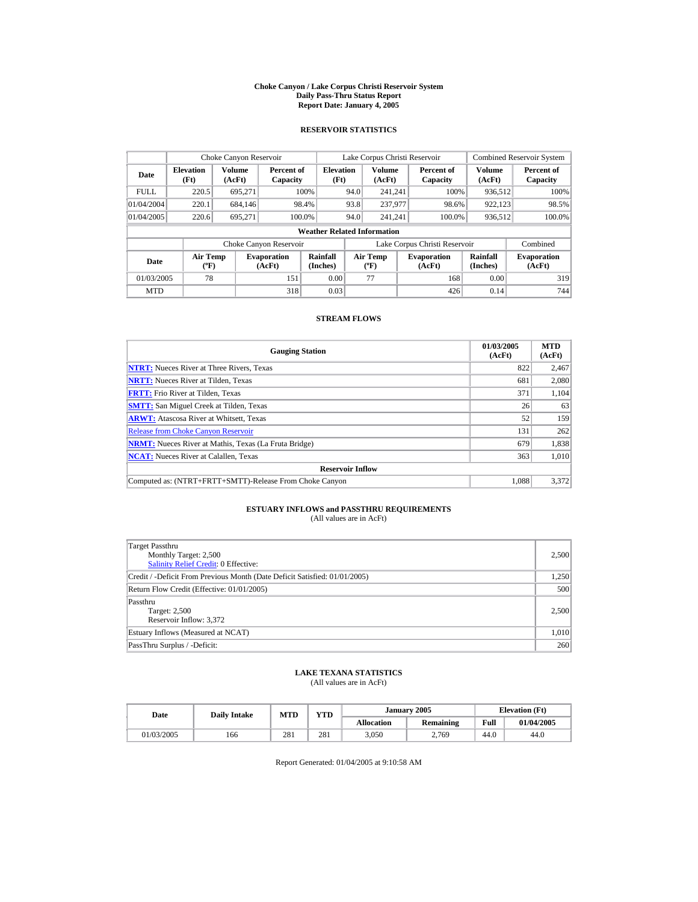#### **Choke Canyon / Lake Corpus Christi Reservoir System Daily Pass-Thru Status Report Report Date: January 4, 2005**

## **RESERVOIR STATISTICS**

|             | Choke Canyon Reservoir             |                  |                              |                          | Lake Corpus Christi Reservoir |                                          |  |                               |                      | <b>Combined Reservoir System</b> |  |  |
|-------------|------------------------------------|------------------|------------------------------|--------------------------|-------------------------------|------------------------------------------|--|-------------------------------|----------------------|----------------------------------|--|--|
| Date        | <b>Elevation</b><br>(Ft)           | Volume<br>(AcFt) | Percent of<br>Capacity       | <b>Elevation</b><br>(Ft) |                               | Volume<br>(AcFt)                         |  | Percent of<br>Capacity        | Volume<br>(AcFt)     | Percent of<br>Capacity           |  |  |
| <b>FULL</b> | 220.5                              | 695.271          |                              | 100%                     | 94.0                          | 241.241                                  |  | 100%                          | 936.512              | 100%                             |  |  |
| 01/04/2004  | 220.1                              | 684.146          |                              | 98.4%                    | 93.8                          | 237,977                                  |  | 98.6%                         | 922.123              | 98.5%                            |  |  |
| 01/04/2005  | 220.6                              | 695.271          | 100.0%                       |                          | 94.0                          | 241.241                                  |  | 100.0%                        | 936,512              | 100.0%                           |  |  |
|             | <b>Weather Related Information</b> |                  |                              |                          |                               |                                          |  |                               |                      |                                  |  |  |
|             |                                    |                  | Choke Canyon Reservoir       |                          |                               |                                          |  | Lake Corpus Christi Reservoir |                      | Combined                         |  |  |
| Date        | <b>Air Temp</b><br>$(^{\circ}F)$   |                  | <b>Evaporation</b><br>(AcFt) | Rainfall<br>(Inches)     |                               | <b>Air Temp</b><br>$({}^{\circ}{\rm F})$ |  | <b>Evaporation</b><br>(AcFt)  | Rainfall<br>(Inches) | <b>Evaporation</b><br>(AcFt)     |  |  |
| 01/03/2005  | 78                                 |                  | 151                          | 0.00                     |                               | 77                                       |  | 168                           | 0.00                 | 319                              |  |  |
| <b>MTD</b>  |                                    |                  | 318                          | 0.03                     |                               |                                          |  | 426                           | 0.14                 | 744                              |  |  |

## **STREAM FLOWS**

| <b>Gauging Station</b>                                       | 01/03/2005<br>(AcFt) | <b>MTD</b><br>(AcFt) |
|--------------------------------------------------------------|----------------------|----------------------|
| <b>NTRT:</b> Nueces River at Three Rivers, Texas             | 822                  | 2,467                |
| <b>NRTT:</b> Nueces River at Tilden, Texas                   | 681                  | 2,080                |
| <b>FRTT:</b> Frio River at Tilden, Texas                     | 371                  | 1,104                |
| <b>SMTT:</b> San Miguel Creek at Tilden, Texas               | 26                   | 63                   |
| <b>ARWT:</b> Atascosa River at Whitsett, Texas               | 52                   | 159                  |
| <b>Release from Choke Canyon Reservoir</b>                   | 131                  | 262                  |
| <b>NRMT:</b> Nueces River at Mathis, Texas (La Fruta Bridge) | 679                  | 1,838                |
| <b>NCAT:</b> Nueces River at Calallen, Texas                 | 363                  | 1.010                |
| <b>Reservoir Inflow</b>                                      |                      |                      |
| Computed as: (NTRT+FRTT+SMTT)-Release From Choke Canyon      | 1.088                | 3,372                |

# **ESTUARY INFLOWS and PASSTHRU REQUIREMENTS**<br>(All values are in AcFt)

| Target Passthru<br>Monthly Target: 2,500<br><b>Salinity Relief Credit: 0 Effective:</b> | 2,500 |
|-----------------------------------------------------------------------------------------|-------|
| Credit / -Deficit From Previous Month (Date Deficit Satisfied: 01/01/2005)              | 1,250 |
| Return Flow Credit (Effective: 01/01/2005)                                              | 500   |
| Passthru<br>Target: 2,500<br>Reservoir Inflow: 3,372                                    | 2,500 |
| Estuary Inflows (Measured at NCAT)                                                      | 1,010 |
| PassThru Surplus / -Deficit:                                                            | 260   |

## **LAKE TEXANA STATISTICS**

(All values are in AcFt)

| Date       | <b>Daily Intake</b> | MTD | VTD |                   | January 2005     | <b>Elevation</b> (Ft) |            |
|------------|---------------------|-----|-----|-------------------|------------------|-----------------------|------------|
|            |                     |     |     | <b>Allocation</b> | <b>Remaining</b> | Full                  | 01/04/2005 |
| 01/03/2005 | 166                 | 281 | 281 | 3,050             | 2.769            | 44.0                  | 44.0       |

Report Generated: 01/04/2005 at 9:10:58 AM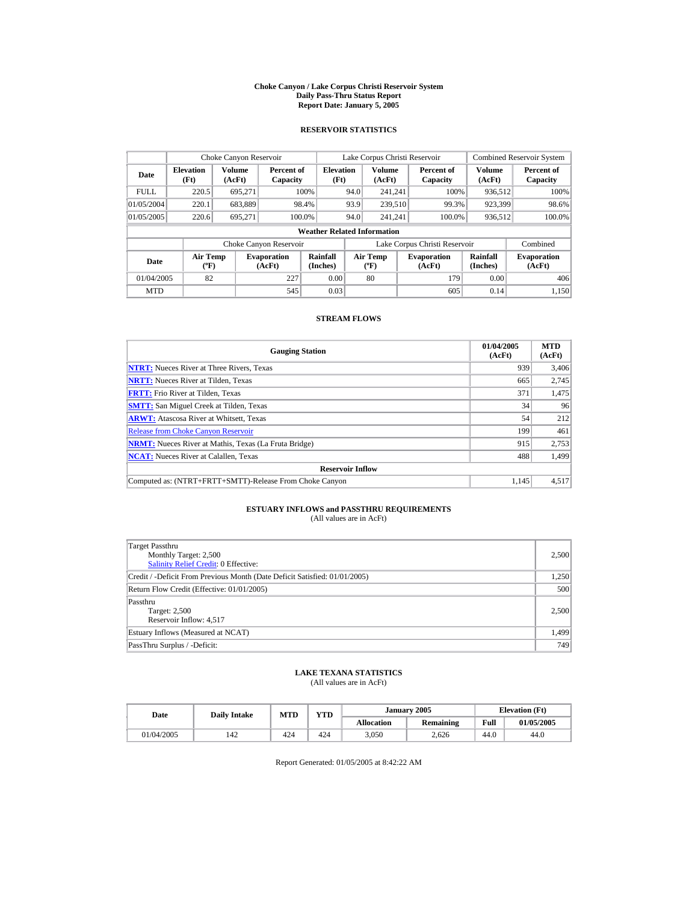#### **Choke Canyon / Lake Corpus Christi Reservoir System Daily Pass-Thru Status Report Report Date: January 5, 2005**

## **RESERVOIR STATISTICS**

|             | Choke Canyon Reservoir                      |                  |                              |                          | Lake Corpus Christi Reservoir |                                          |  |                               |                         | <b>Combined Reservoir System</b> |  |  |  |
|-------------|---------------------------------------------|------------------|------------------------------|--------------------------|-------------------------------|------------------------------------------|--|-------------------------------|-------------------------|----------------------------------|--|--|--|
| Date        | <b>Elevation</b><br>(Ft)                    | Volume<br>(AcFt) | Percent of<br>Capacity       | <b>Elevation</b><br>(Ft) |                               | <b>Volume</b><br>(AcFt)                  |  | Percent of<br>Capacity        | <b>Volume</b><br>(AcFt) | Percent of<br>Capacity           |  |  |  |
| <b>FULL</b> | 220.5                                       | 695,271          |                              | 100%                     | 94.0                          | 241.241                                  |  | 100%                          | 936.512                 | 100%                             |  |  |  |
| 01/05/2004  | 220.1                                       | 683,889          |                              | 98.4%                    | 93.9                          | 239,510                                  |  | 99.3%                         | 923,399                 | 98.6%                            |  |  |  |
| 01/05/2005  | 220.6                                       | 695.271          |                              | 100.0%                   | 94.0                          | 241.241                                  |  | 100.0%                        | 936,512                 | 100.0%                           |  |  |  |
|             | <b>Weather Related Information</b>          |                  |                              |                          |                               |                                          |  |                               |                         |                                  |  |  |  |
|             |                                             |                  | Choke Canyon Reservoir       |                          |                               |                                          |  | Lake Corpus Christi Reservoir |                         | Combined                         |  |  |  |
| Date        | <b>Air Temp</b><br>$({}^{\circ}\mathrm{F})$ |                  | <b>Evaporation</b><br>(AcFt) | Rainfall<br>(Inches)     |                               | <b>Air Temp</b><br>$({}^{\circ}{\rm F})$ |  | <b>Evaporation</b><br>(AcFt)  | Rainfall<br>(Inches)    | <b>Evaporation</b><br>(AcFt)     |  |  |  |
| 01/04/2005  | 82                                          |                  | 227                          | 0.00                     |                               | 80                                       |  | 179                           | 0.00                    | 406                              |  |  |  |
| <b>MTD</b>  |                                             |                  | 545                          | 0.03                     |                               |                                          |  | 605                           | 0.14                    | 1.150                            |  |  |  |

## **STREAM FLOWS**

| <b>Gauging Station</b>                                       | 01/04/2005<br>(AcFt) | <b>MTD</b><br>(AcFt) |
|--------------------------------------------------------------|----------------------|----------------------|
| <b>NTRT:</b> Nueces River at Three Rivers, Texas             | 939                  | 3,406                |
| <b>NRTT:</b> Nueces River at Tilden, Texas                   | 665                  | 2.745                |
| <b>FRTT:</b> Frio River at Tilden, Texas                     | 371                  | 1,475                |
| <b>SMTT:</b> San Miguel Creek at Tilden, Texas               | 34                   | 96                   |
| <b>ARWT:</b> Atascosa River at Whitsett, Texas               | 54                   | 212                  |
| <b>Release from Choke Canvon Reservoir</b>                   | 199                  | 461                  |
| <b>NRMT:</b> Nueces River at Mathis, Texas (La Fruta Bridge) | 915                  | 2,753                |
| <b>NCAT:</b> Nueces River at Calallen, Texas                 | 488                  | 1,499                |
| <b>Reservoir Inflow</b>                                      |                      |                      |
| Computed as: (NTRT+FRTT+SMTT)-Release From Choke Canyon      | 1.145                | 4.517                |

# **ESTUARY INFLOWS and PASSTHRU REQUIREMENTS**<br>(All values are in AcFt)

| Target Passthru<br>Monthly Target: 2,500<br><b>Salinity Relief Credit: 0 Effective:</b> | 2,500 |
|-----------------------------------------------------------------------------------------|-------|
| Credit / -Deficit From Previous Month (Date Deficit Satisfied: 01/01/2005)              | 1,250 |
| Return Flow Credit (Effective: 01/01/2005)                                              | 500   |
| Passthru<br>Target: 2,500<br>Reservoir Inflow: 4,517                                    | 2,500 |
| Estuary Inflows (Measured at NCAT)                                                      | 1,499 |
| PassThru Surplus / -Deficit:                                                            | 749   |

## **LAKE TEXANA STATISTICS**

(All values are in AcFt)

| Date       | Dailv Intake | <b>MTD</b> | YTD |                   | January 2005 | <b>Elevation</b> (Ft) |            |
|------------|--------------|------------|-----|-------------------|--------------|-----------------------|------------|
|            |              |            |     | <b>Allocation</b> | Remaining    | Full                  | 01/05/2005 |
| 01/04/2005 | 142          | 424        | 424 | 3,050             | 2.626        | 44.0                  | 44.0       |

Report Generated: 01/05/2005 at 8:42:22 AM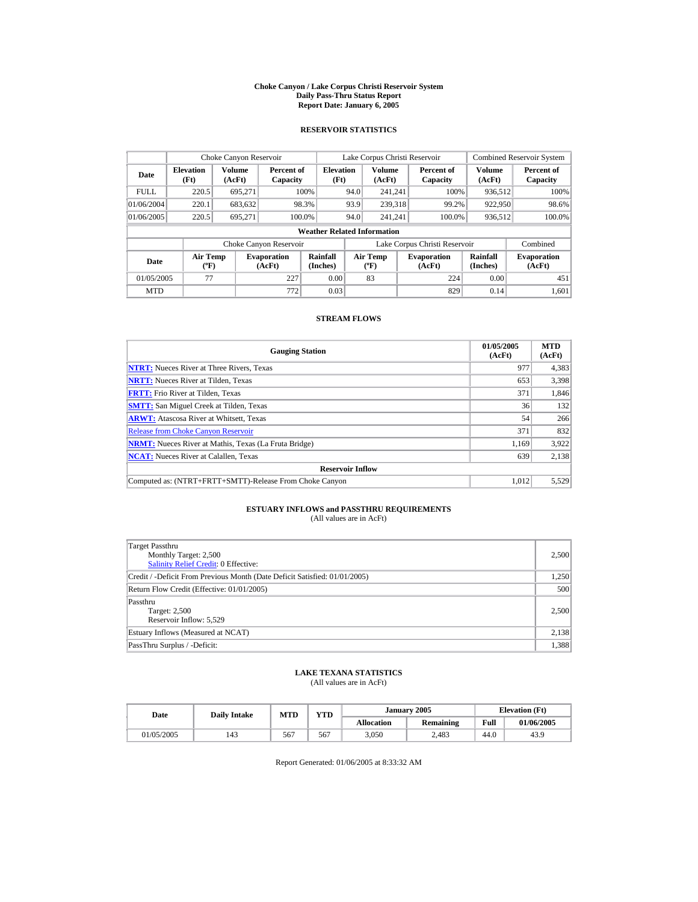#### **Choke Canyon / Lake Corpus Christi Reservoir System Daily Pass-Thru Status Report Report Date: January 6, 2005**

## **RESERVOIR STATISTICS**

|             | Choke Canyon Reservoir                      |                  |                              |                          | Lake Corpus Christi Reservoir |                                          |  |                               |                         | <b>Combined Reservoir System</b> |  |  |  |
|-------------|---------------------------------------------|------------------|------------------------------|--------------------------|-------------------------------|------------------------------------------|--|-------------------------------|-------------------------|----------------------------------|--|--|--|
| Date        | <b>Elevation</b><br>(Ft)                    | Volume<br>(AcFt) | Percent of<br>Capacity       | <b>Elevation</b><br>(Ft) |                               | <b>Volume</b><br>(AcFt)                  |  | Percent of<br>Capacity        | <b>Volume</b><br>(AcFt) | Percent of<br>Capacity           |  |  |  |
| <b>FULL</b> | 220.5                                       | 695,271          |                              | 100%                     | 94.0                          | 241.241                                  |  | 100%                          | 936.512                 | 100%                             |  |  |  |
| 01/06/2004  | 220.1                                       | 683,632          |                              | 98.3%                    | 93.9                          | 239,318                                  |  | 99.2%                         | 922,950                 | 98.6%                            |  |  |  |
| 01/06/2005  | 220.5                                       | 695.271          | 100.0%                       |                          | 94.0                          | 241.241                                  |  | 100.0%                        | 936,512                 | 100.0%                           |  |  |  |
|             | <b>Weather Related Information</b>          |                  |                              |                          |                               |                                          |  |                               |                         |                                  |  |  |  |
|             |                                             |                  | Choke Canyon Reservoir       |                          |                               |                                          |  | Lake Corpus Christi Reservoir |                         | Combined                         |  |  |  |
| Date        | <b>Air Temp</b><br>$({}^{\circ}\mathrm{F})$ |                  | <b>Evaporation</b><br>(AcFt) | Rainfall<br>(Inches)     |                               | <b>Air Temp</b><br>$({}^{\circ}{\rm F})$ |  | <b>Evaporation</b><br>(AcFt)  | Rainfall<br>(Inches)    | <b>Evaporation</b><br>(AcFt)     |  |  |  |
| 01/05/2005  | 77                                          |                  | 227                          | 0.00                     |                               | 83                                       |  | 224                           | 0.00                    | 451                              |  |  |  |
| <b>MTD</b>  |                                             |                  | 772                          | 0.03                     |                               |                                          |  | 829                           | 0.14                    | 1.601                            |  |  |  |

## **STREAM FLOWS**

| <b>Gauging Station</b>                                       | 01/05/2005<br>(AcFt) | <b>MTD</b><br>(AcFt) |
|--------------------------------------------------------------|----------------------|----------------------|
| <b>NTRT:</b> Nueces River at Three Rivers, Texas             | 977                  | 4,383                |
| <b>NRTT:</b> Nueces River at Tilden, Texas                   | 653                  | 3,398                |
| <b>FRTT:</b> Frio River at Tilden, Texas                     | 371                  | 1,846                |
| <b>SMTT:</b> San Miguel Creek at Tilden, Texas               | 36                   | 132                  |
| <b>ARWT:</b> Atascosa River at Whitsett, Texas               | 54                   | 266                  |
| <b>Release from Choke Canyon Reservoir</b>                   | 371                  | 832                  |
| <b>NRMT:</b> Nueces River at Mathis, Texas (La Fruta Bridge) | 1.169                | 3.922                |
| <b>NCAT:</b> Nueces River at Calallen, Texas                 | 639                  | 2,138                |
| <b>Reservoir Inflow</b>                                      |                      |                      |
| Computed as: (NTRT+FRTT+SMTT)-Release From Choke Canyon      | 1.012                | 5,529                |

# **ESTUARY INFLOWS and PASSTHRU REQUIREMENTS**<br>(All values are in AcFt)

| Target Passthru<br>Monthly Target: 2,500<br><b>Salinity Relief Credit: 0 Effective:</b> | 2,500 |
|-----------------------------------------------------------------------------------------|-------|
| Credit / -Deficit From Previous Month (Date Deficit Satisfied: 01/01/2005)              | 1,250 |
| Return Flow Credit (Effective: 01/01/2005)                                              | 500   |
| Passthru<br>Target: 2,500<br>Reservoir Inflow: 5,529                                    | 2,500 |
| Estuary Inflows (Measured at NCAT)                                                      | 2,138 |
| PassThru Surplus / -Deficit:                                                            | 1,388 |

## **LAKE TEXANA STATISTICS**

(All values are in AcFt)

| Date       | Dailv Intake | <b>MTD</b> | YTD |                   | January 2005 | <b>Elevation</b> (Ft) |            |
|------------|--------------|------------|-----|-------------------|--------------|-----------------------|------------|
|            |              |            |     | <b>Allocation</b> | Remaining    | Full                  | 01/06/2005 |
| 01/05/2005 | 143          | 567        | 567 | 3,050             | 2.483        | 44.0                  | 43.9       |

Report Generated: 01/06/2005 at 8:33:32 AM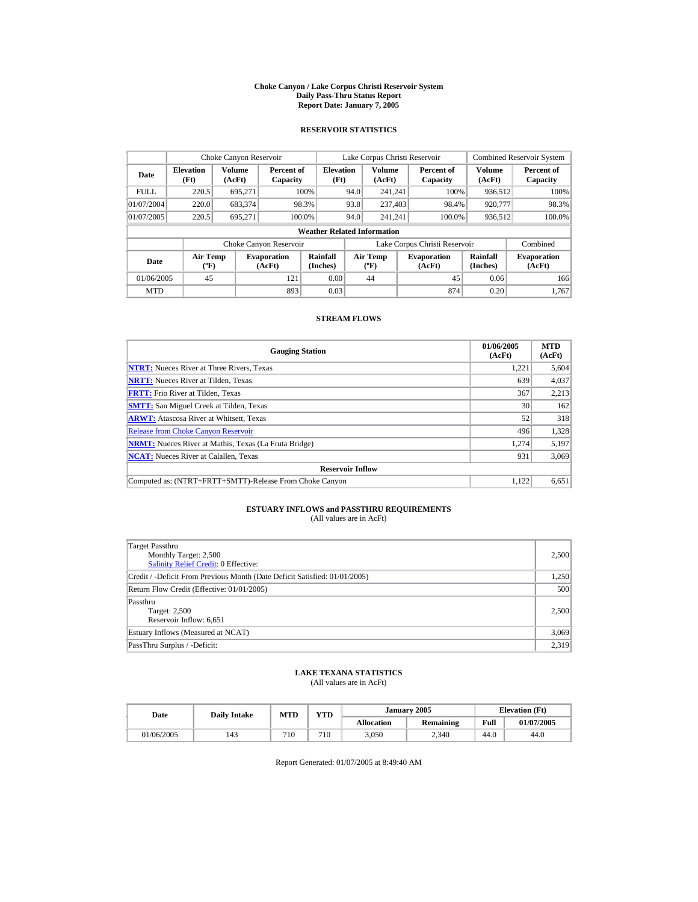#### **Choke Canyon / Lake Corpus Christi Reservoir System Daily Pass-Thru Status Report Report Date: January 7, 2005**

## **RESERVOIR STATISTICS**

|             | Choke Canyon Reservoir                      |                  |                              |                          | Lake Corpus Christi Reservoir |                                          |  |                               |                         | <b>Combined Reservoir System</b> |  |  |
|-------------|---------------------------------------------|------------------|------------------------------|--------------------------|-------------------------------|------------------------------------------|--|-------------------------------|-------------------------|----------------------------------|--|--|
| Date        | <b>Elevation</b><br>(Ft)                    | Volume<br>(AcFt) | Percent of<br>Capacity       | <b>Elevation</b><br>(Ft) |                               | <b>Volume</b><br>(AcFt)                  |  | Percent of<br>Capacity        | <b>Volume</b><br>(AcFt) | Percent of<br>Capacity           |  |  |
| <b>FULL</b> | 220.5                                       | 695,271          |                              | 100%                     | 94.0                          | 241.241                                  |  | 100%                          | 936.512                 | 100%                             |  |  |
| 01/07/2004  | 220.0                                       | 683.374          |                              | 98.3%                    | 93.8                          | 237,403                                  |  | 98.4%                         | 920,777                 | 98.3%                            |  |  |
| 01/07/2005  | 220.5                                       | 695.271          |                              | 100.0%                   | 94.0                          | 241.241                                  |  | 100.0%                        | 936,512                 | 100.0%                           |  |  |
|             | <b>Weather Related Information</b>          |                  |                              |                          |                               |                                          |  |                               |                         |                                  |  |  |
|             |                                             |                  | Choke Canyon Reservoir       |                          |                               |                                          |  | Lake Corpus Christi Reservoir |                         | Combined                         |  |  |
| Date        | <b>Air Temp</b><br>$({}^{\circ}\mathrm{F})$ |                  | <b>Evaporation</b><br>(AcFt) | Rainfall<br>(Inches)     |                               | <b>Air Temp</b><br>$({}^{\circ}{\rm F})$ |  | <b>Evaporation</b><br>(AcFt)  | Rainfall<br>(Inches)    | <b>Evaporation</b><br>(AcFt)     |  |  |
| 01/06/2005  | 45                                          |                  | 121                          | 0.00                     |                               | 44                                       |  | 45                            | 0.06                    | 166                              |  |  |
| <b>MTD</b>  |                                             |                  | 893                          | 0.03                     |                               |                                          |  | 874                           | 0.20                    | 1.767                            |  |  |

## **STREAM FLOWS**

| <b>Gauging Station</b>                                       | 01/06/2005<br>(AcFt) | <b>MTD</b><br>(AcFt) |
|--------------------------------------------------------------|----------------------|----------------------|
| <b>NTRT:</b> Nueces River at Three Rivers, Texas             | 1.221                | 5,604                |
| <b>NRTT:</b> Nueces River at Tilden, Texas                   | 639                  | 4,037                |
| <b>FRTT:</b> Frio River at Tilden, Texas                     | 367                  | 2,213                |
| <b>SMTT:</b> San Miguel Creek at Tilden, Texas               | 30                   | 162                  |
| <b>ARWT:</b> Atascosa River at Whitsett, Texas               | 52                   | 318                  |
| <b>Release from Choke Canvon Reservoir</b>                   | 496                  | 1,328                |
| <b>NRMT:</b> Nueces River at Mathis, Texas (La Fruta Bridge) | 1.274                | 5,197                |
| <b>NCAT:</b> Nueces River at Calallen, Texas                 | 931                  | 3,069                |
| <b>Reservoir Inflow</b>                                      |                      |                      |
| Computed as: (NTRT+FRTT+SMTT)-Release From Choke Canyon      | 1.122                | 6.651                |

# **ESTUARY INFLOWS and PASSTHRU REQUIREMENTS**<br>(All values are in AcFt)

| <b>Target Passthru</b><br>Monthly Target: 2,500<br>Salinity Relief Credit: 0 Effective: | 2,500 |
|-----------------------------------------------------------------------------------------|-------|
| Credit / -Deficit From Previous Month (Date Deficit Satisfied: 01/01/2005)              | 1,250 |
| Return Flow Credit (Effective: 01/01/2005)                                              | 500   |
| Passthru<br>Target: 2,500<br>Reservoir Inflow: 6,651                                    | 2,500 |
| Estuary Inflows (Measured at NCAT)                                                      | 3,069 |
| PassThru Surplus / -Deficit:                                                            | 2,319 |

## **LAKE TEXANA STATISTICS**

(All values are in AcFt)

| Date       | <b>Daily Intake</b> | <b>MTD</b> | YTD |                   | January 2005 | <b>Elevation</b> (Ft) |            |
|------------|---------------------|------------|-----|-------------------|--------------|-----------------------|------------|
|            |                     |            |     | <b>Allocation</b> | Remaining    | Full                  | 01/07/2005 |
| 01/06/2005 | 143                 | 710        | 710 | <i>s</i> ,050     | 2,340        | 44.0                  | 44.0       |

Report Generated: 01/07/2005 at 8:49:40 AM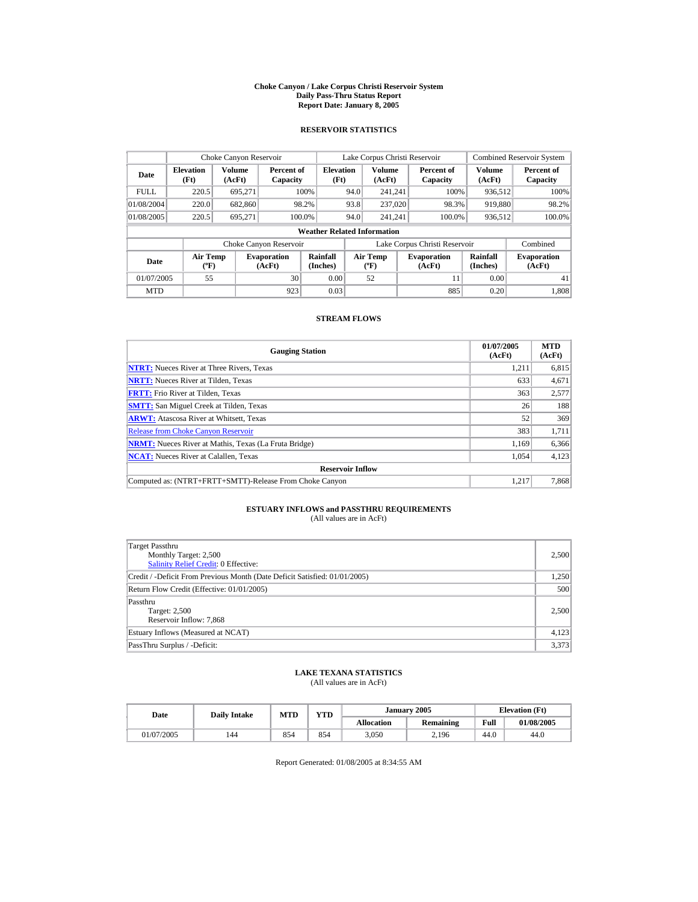#### **Choke Canyon / Lake Corpus Christi Reservoir System Daily Pass-Thru Status Report Report Date: January 8, 2005**

## **RESERVOIR STATISTICS**

|             | Choke Canyon Reservoir                |                  |                              |                          | Lake Corpus Christi Reservoir |                                          |  |                               |                         | <b>Combined Reservoir System</b> |  |  |
|-------------|---------------------------------------|------------------|------------------------------|--------------------------|-------------------------------|------------------------------------------|--|-------------------------------|-------------------------|----------------------------------|--|--|
| Date        | <b>Elevation</b><br>(Ft)              | Volume<br>(AcFt) | Percent of<br>Capacity       | <b>Elevation</b><br>(Ft) |                               | <b>Volume</b><br>(AcFt)                  |  | Percent of<br>Capacity        | <b>Volume</b><br>(AcFt) | Percent of<br>Capacity           |  |  |
| <b>FULL</b> | 220.5                                 | 695,271          |                              | 100%                     | 94.0                          | 241.241                                  |  | 100%                          | 936.512                 | 100%                             |  |  |
| 01/08/2004  | 220.0                                 | 682,860          |                              | 98.2%                    | 93.8                          | 237,020                                  |  | 98.3%                         | 919,880                 | 98.2%                            |  |  |
| 01/08/2005  | 220.5                                 | 695.271          |                              | 100.0%                   | 94.0                          | 241.241                                  |  | 100.0%                        | 936,512                 | 100.0%                           |  |  |
|             | <b>Weather Related Information</b>    |                  |                              |                          |                               |                                          |  |                               |                         |                                  |  |  |
|             |                                       |                  | Choke Canyon Reservoir       |                          |                               |                                          |  | Lake Corpus Christi Reservoir |                         | Combined                         |  |  |
| Date        | <b>Air Temp</b><br>$({}^o\mathrm{F})$ |                  | <b>Evaporation</b><br>(AcFt) | Rainfall<br>(Inches)     |                               | <b>Air Temp</b><br>$({}^{\circ}{\rm F})$ |  | <b>Evaporation</b><br>(AcFt)  | Rainfall<br>(Inches)    | <b>Evaporation</b><br>(AcFt)     |  |  |
| 01/07/2005  | 55                                    |                  | 30                           | 0.00                     |                               | 52                                       |  | 11                            | 0.00                    | 41                               |  |  |
| <b>MTD</b>  |                                       |                  | 923                          | 0.03                     |                               |                                          |  | 885                           | 0.20                    | 1.808                            |  |  |

## **STREAM FLOWS**

| <b>Gauging Station</b>                                       | 01/07/2005<br>(AcFt) | <b>MTD</b><br>(AcFt) |
|--------------------------------------------------------------|----------------------|----------------------|
| <b>NTRT:</b> Nueces River at Three Rivers, Texas             | 1,211                | 6,815                |
| <b>NRTT:</b> Nueces River at Tilden, Texas                   | 633                  | 4,671                |
| <b>FRTT:</b> Frio River at Tilden, Texas                     | 363                  | 2,577                |
| <b>SMTT:</b> San Miguel Creek at Tilden, Texas               | 26                   | 188                  |
| <b>ARWT:</b> Atascosa River at Whitsett, Texas               | 52                   | 369                  |
| <b>Release from Choke Canyon Reservoir</b>                   | 383                  | 1,711                |
| <b>NRMT:</b> Nueces River at Mathis, Texas (La Fruta Bridge) | 1.169                | 6,366                |
| <b>NCAT:</b> Nueces River at Calallen, Texas                 | 1,054                | 4,123                |
| <b>Reservoir Inflow</b>                                      |                      |                      |
| Computed as: (NTRT+FRTT+SMTT)-Release From Choke Canyon      | 1.217                | 7,868                |

# **ESTUARY INFLOWS and PASSTHRU REQUIREMENTS**<br>(All values are in AcFt)

| Target Passthru<br>Monthly Target: 2,500<br><b>Salinity Relief Credit: 0 Effective:</b> | 2,500 |
|-----------------------------------------------------------------------------------------|-------|
| Credit / -Deficit From Previous Month (Date Deficit Satisfied: 01/01/2005)              | 1,250 |
| Return Flow Credit (Effective: 01/01/2005)                                              | 500   |
| Passthru<br>Target: 2,500<br>Reservoir Inflow: 7,868                                    | 2,500 |
| Estuary Inflows (Measured at NCAT)                                                      | 4,123 |
| PassThru Surplus / -Deficit:                                                            | 3,373 |

## **LAKE TEXANA STATISTICS**

(All values are in AcFt)

| Date       | <b>Daily Intake</b> | <b>MTD</b> | YTD |                   | January 2005 | <b>Elevation</b> (Ft) |            |
|------------|---------------------|------------|-----|-------------------|--------------|-----------------------|------------|
|            |                     |            |     | <b>Allocation</b> | Remaining    | Full                  | 01/08/2005 |
| 01/07/2005 | 144                 | 854        | 854 | 3,050             | 2,196        | 44.0                  | 44.0       |

Report Generated: 01/08/2005 at 8:34:55 AM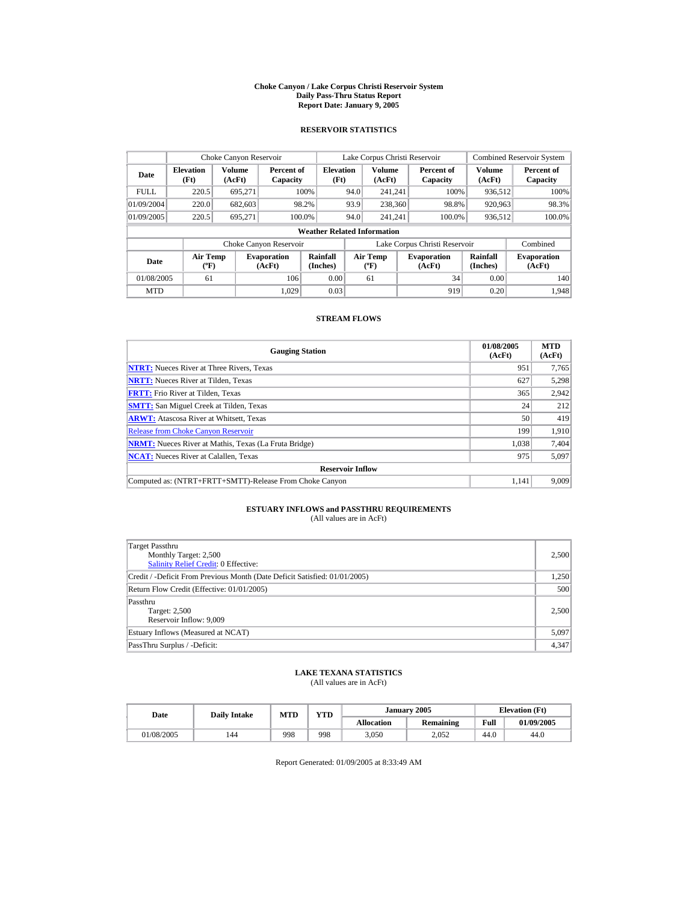#### **Choke Canyon / Lake Corpus Christi Reservoir System Daily Pass-Thru Status Report Report Date: January 9, 2005**

## **RESERVOIR STATISTICS**

|             | Choke Canyon Reservoir             |                  |                              |                          | Lake Corpus Christi Reservoir    |                         |  |                               | <b>Combined Reservoir System</b> |                              |  |  |
|-------------|------------------------------------|------------------|------------------------------|--------------------------|----------------------------------|-------------------------|--|-------------------------------|----------------------------------|------------------------------|--|--|
| Date        | <b>Elevation</b><br>(Ft)           | Volume<br>(AcFt) | Percent of<br>Capacity       | <b>Elevation</b><br>(Ft) |                                  | <b>Volume</b><br>(AcFt) |  | Percent of<br>Capacity        | Volume<br>(AcFt)                 | Percent of<br>Capacity       |  |  |
| <b>FULL</b> | 220.5                              | 695.271          |                              | 100%                     | 94.0                             | 241.241                 |  | 100%                          | 936.512                          | 100%                         |  |  |
| 01/09/2004  | 220.0                              | 682,603          |                              | 98.2%                    | 93.9                             | 238,360                 |  | 98.8%                         | 920,963                          | 98.3%                        |  |  |
| 01/09/2005  | 220.5                              | 695.271          |                              | 100.0%                   | 94.0                             | 241.241                 |  | 100.0%                        | 936,512                          | 100.0%                       |  |  |
|             | <b>Weather Related Information</b> |                  |                              |                          |                                  |                         |  |                               |                                  |                              |  |  |
|             |                                    |                  | Choke Canyon Reservoir       |                          |                                  |                         |  | Lake Corpus Christi Reservoir |                                  | Combined                     |  |  |
| Date        | <b>Air Temp</b><br>$(^{\circ}F)$   |                  | <b>Evaporation</b><br>(AcFt) | Rainfall<br>(Inches)     | <b>Air Temp</b><br>$(^{\circ}F)$ |                         |  | <b>Evaporation</b><br>(AcFt)  | <b>Rainfall</b><br>(Inches)      | <b>Evaporation</b><br>(AcFt) |  |  |
| 01/08/2005  | 61                                 |                  | 106                          | 0.00                     |                                  | 61                      |  | 34                            | 0.00                             | 140                          |  |  |
| <b>MTD</b>  |                                    |                  | 1.029                        | 0.03                     |                                  |                         |  | 919                           | 0.20                             | 1.948                        |  |  |

## **STREAM FLOWS**

| <b>Gauging Station</b>                                       | 01/08/2005<br>(AcFt) | <b>MTD</b><br>(AcFt) |
|--------------------------------------------------------------|----------------------|----------------------|
| <b>NTRT:</b> Nueces River at Three Rivers, Texas             | 951                  | 7,765                |
| <b>NRTT:</b> Nueces River at Tilden, Texas                   | 627                  | 5,298                |
| <b>FRTT:</b> Frio River at Tilden, Texas                     | 365                  | 2,942                |
| <b>SMTT:</b> San Miguel Creek at Tilden, Texas               | 24                   | 212                  |
| <b>ARWT:</b> Atascosa River at Whitsett, Texas               | 50                   | 419                  |
| <b>Release from Choke Canvon Reservoir</b>                   | 199                  | 1.910                |
| <b>NRMT:</b> Nueces River at Mathis, Texas (La Fruta Bridge) | 1,038                | 7,404                |
| <b>NCAT:</b> Nueces River at Calallen, Texas                 | 975                  | 5,097                |
| <b>Reservoir Inflow</b>                                      |                      |                      |
| Computed as: (NTRT+FRTT+SMTT)-Release From Choke Canyon      | 1.141                | 9,009                |

# **ESTUARY INFLOWS and PASSTHRU REQUIREMENTS**<br>(All values are in AcFt)

| Target Passthru<br>Monthly Target: 2,500<br><b>Salinity Relief Credit: 0 Effective:</b> | 2,500 |
|-----------------------------------------------------------------------------------------|-------|
| Credit / -Deficit From Previous Month (Date Deficit Satisfied: 01/01/2005)              | 1,250 |
| Return Flow Credit (Effective: 01/01/2005)                                              | 500   |
| Passthru<br>Target: 2,500<br>Reservoir Inflow: 9.009                                    | 2,500 |
| Estuary Inflows (Measured at NCAT)                                                      | 5,097 |
| PassThru Surplus / -Deficit:                                                            | 4,347 |

## **LAKE TEXANA STATISTICS**

(All values are in AcFt)

| Date       | <b>Daily Intake</b> | <b>MTD</b> | YTD |                   | January 2005     | <b>Elevation</b> (Ft) |            |
|------------|---------------------|------------|-----|-------------------|------------------|-----------------------|------------|
|            |                     |            |     | <b>Allocation</b> | <b>Remaining</b> | Full                  | 01/09/2005 |
| 01/08/2005 | 144                 | 998        | 998 | 3,050             | 2.052            | 44.0                  | 44.0       |

Report Generated: 01/09/2005 at 8:33:49 AM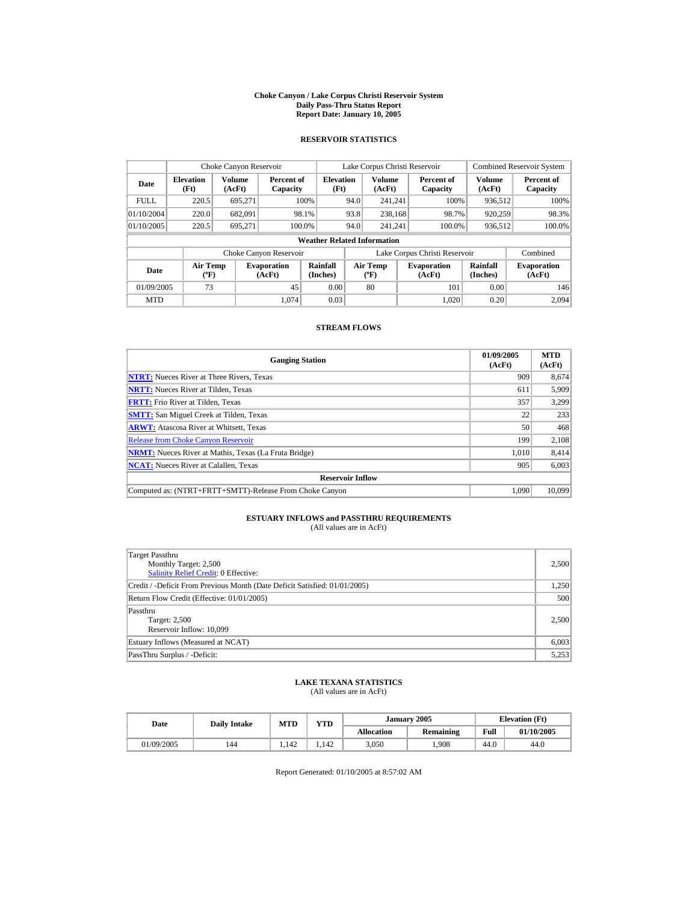#### **Choke Canyon / Lake Corpus Christi Reservoir System Daily Pass-Thru Status Report Report Date: January 10, 2005**

## **RESERVOIR STATISTICS**

|             | Choke Canyon Reservoir                |                         |                              |                          |      | Lake Corpus Christi Reservoir             |  |                               |                      | <b>Combined Reservoir System</b> |  |  |  |
|-------------|---------------------------------------|-------------------------|------------------------------|--------------------------|------|-------------------------------------------|--|-------------------------------|----------------------|----------------------------------|--|--|--|
| Date        | <b>Elevation</b><br>(Ft)              | <b>Volume</b><br>(AcFt) | Percent of<br>Capacity       | <b>Elevation</b><br>(Ft) |      | <b>Volume</b><br>(AcFt)                   |  | Percent of<br>Capacity        | Volume<br>(AcFt)     | Percent of<br>Capacity           |  |  |  |
| <b>FULL</b> | 220.5                                 | 695.271                 |                              | 100%                     | 94.0 | 241.241                                   |  | 100%                          | 936,512              | 100%                             |  |  |  |
| 01/10/2004  | 220.0                                 | 682,091                 |                              | 98.1%                    | 93.8 | 238.168                                   |  | 98.7%                         | 920,259              | 98.3%                            |  |  |  |
| 01/10/2005  | 220.5                                 | 695.271                 |                              | 100.0%                   | 94.0 | 241.241                                   |  | 100.0%                        | 936.512              | 100.0%                           |  |  |  |
|             | <b>Weather Related Information</b>    |                         |                              |                          |      |                                           |  |                               |                      |                                  |  |  |  |
|             |                                       |                         | Choke Canyon Reservoir       |                          |      |                                           |  | Lake Corpus Christi Reservoir |                      | Combined                         |  |  |  |
| Date        | <b>Air Temp</b><br>$({}^o\mathrm{F})$ |                         | <b>Evaporation</b><br>(AcFt) | Rainfall<br>(Inches)     |      | <b>Air Temp</b><br>$({}^{\circ}\text{F})$ |  | <b>Evaporation</b><br>(AcFt)  | Rainfall<br>(Inches) | <b>Evaporation</b><br>(AcFt)     |  |  |  |
| 01/09/2005  | 73                                    |                         | 45                           | 0.00                     |      | 80                                        |  | 101                           | 0.00                 | 146                              |  |  |  |
| <b>MTD</b>  |                                       |                         | 1.074                        | 0.03                     |      |                                           |  | 1.020                         | 0.20                 | 2.094                            |  |  |  |

### **STREAM FLOWS**

| <b>Gauging Station</b>                                       | 01/09/2005<br>(AcFt) | <b>MTD</b><br>(AcFt) |
|--------------------------------------------------------------|----------------------|----------------------|
| <b>NTRT:</b> Nueces River at Three Rivers, Texas             | 909                  | 8,674                |
| <b>NRTT:</b> Nueces River at Tilden. Texas                   | 611                  | 5.909                |
| <b>FRTT:</b> Frio River at Tilden, Texas                     | 357                  | 3.299                |
| <b>SMTT:</b> San Miguel Creek at Tilden, Texas               | 22                   | 233                  |
| <b>ARWT:</b> Atascosa River at Whitsett, Texas               | 50                   | 468                  |
| <b>Release from Choke Canyon Reservoir</b>                   | 199                  | 2,108                |
| <b>NRMT:</b> Nueces River at Mathis, Texas (La Fruta Bridge) | 1.010                | 8,414                |
| <b>NCAT:</b> Nueces River at Calallen, Texas                 | 905                  | 6,003                |
| <b>Reservoir Inflow</b>                                      |                      |                      |
| Computed as: (NTRT+FRTT+SMTT)-Release From Choke Canyon      | 1.090                | 10.099               |

# **ESTUARY INFLOWS and PASSTHRU REQUIREMENTS**<br>(All values are in AcFt)

| Target Passthru<br>Monthly Target: 2,500<br><b>Salinity Relief Credit: 0 Effective:</b> | 2,500 |
|-----------------------------------------------------------------------------------------|-------|
| Credit / -Deficit From Previous Month (Date Deficit Satisfied: 01/01/2005)              | 1,250 |
| Return Flow Credit (Effective: 01/01/2005)                                              | 500   |
| Passthru<br>Target: 2,500<br>Reservoir Inflow: 10,099                                   | 2,500 |
| Estuary Inflows (Measured at NCAT)                                                      | 6,003 |
| PassThru Surplus / -Deficit:                                                            | 5,253 |

# **LAKE TEXANA STATISTICS** (All values are in AcFt)

| Date       | <b>Daily Intake</b> | MTD  | YTD  |                   | January 2005 | <b>Elevation</b> (Ft) |            |
|------------|---------------------|------|------|-------------------|--------------|-----------------------|------------|
|            |                     |      |      | <b>Allocation</b> | Remaining    | Full                  | 01/10/2005 |
| 01/09/2005 | 144                 | .142 | .142 | 3.050             | .908         | 44.0                  | 44.0       |

Report Generated: 01/10/2005 at 8:57:02 AM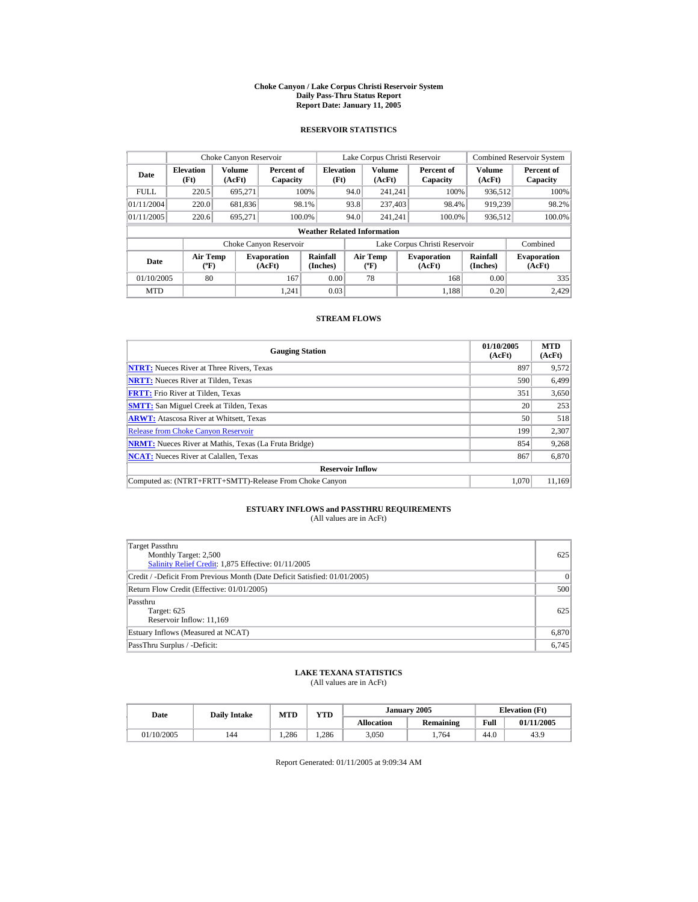#### **Choke Canyon / Lake Corpus Christi Reservoir System Daily Pass-Thru Status Report Report Date: January 11, 2005**

## **RESERVOIR STATISTICS**

|             | Choke Canyon Reservoir                      |                         |                              |                          |      | Lake Corpus Christi Reservoir     |  |                               |                         | <b>Combined Reservoir System</b> |  |  |  |
|-------------|---------------------------------------------|-------------------------|------------------------------|--------------------------|------|-----------------------------------|--|-------------------------------|-------------------------|----------------------------------|--|--|--|
| Date        | <b>Elevation</b><br>(Ft)                    | <b>Volume</b><br>(AcFt) | Percent of<br>Capacity       | <b>Elevation</b><br>(Ft) |      | <b>Volume</b><br>(AcFt)           |  | Percent of<br>Capacity        | <b>Volume</b><br>(AcFt) | Percent of<br>Capacity           |  |  |  |
| <b>FULL</b> | 220.5                                       | 695.271                 |                              | 100%                     | 94.0 | 241.241                           |  | 100%                          | 936,512                 | 100%                             |  |  |  |
| 01/11/2004  | 220.0                                       | 681,836                 |                              | 98.1%                    | 93.8 | 237,403                           |  | 98.4%                         | 919.239                 | 98.2%                            |  |  |  |
| 01/11/2005  | 220.6                                       | 695.271                 | 100.0%                       |                          | 94.0 | 241.241                           |  | 100.0%                        | 936,512                 | 100.0%                           |  |  |  |
|             | <b>Weather Related Information</b>          |                         |                              |                          |      |                                   |  |                               |                         |                                  |  |  |  |
|             |                                             |                         | Choke Canyon Reservoir       |                          |      |                                   |  | Lake Corpus Christi Reservoir |                         | Combined                         |  |  |  |
| Date        | <b>Air Temp</b><br>$({}^{\circ}\mathrm{F})$ |                         | <b>Evaporation</b><br>(AcFt) | Rainfall<br>(Inches)     |      | Air Temp<br>$({}^{\circ}{\rm F})$ |  | <b>Evaporation</b><br>(AcFt)  | Rainfall<br>(Inches)    | <b>Evaporation</b><br>(AcFt)     |  |  |  |
| 01/10/2005  | 80                                          |                         | 167                          | 0.00                     |      | 78                                |  | 168                           | 0.00                    | 335                              |  |  |  |
| <b>MTD</b>  |                                             |                         | 1.241                        | 0.03                     |      |                                   |  | 1.188                         | 0.20                    | 2.429                            |  |  |  |

## **STREAM FLOWS**

| <b>Gauging Station</b>                                       | 01/10/2005<br>(AcFt) | <b>MTD</b><br>(AcFt) |
|--------------------------------------------------------------|----------------------|----------------------|
| <b>NTRT:</b> Nueces River at Three Rivers, Texas             | 897                  | 9,572                |
| <b>NRTT:</b> Nueces River at Tilden, Texas                   | 590                  | 6,499                |
| <b>FRTT:</b> Frio River at Tilden, Texas                     | 351                  | 3,650                |
| <b>SMTT:</b> San Miguel Creek at Tilden, Texas               | 20                   | 253                  |
| <b>ARWT:</b> Atascosa River at Whitsett, Texas               | 50                   | 518                  |
| <b>Release from Choke Canvon Reservoir</b>                   | 199                  | 2,307                |
| <b>NRMT:</b> Nueces River at Mathis, Texas (La Fruta Bridge) | 854                  | 9,268                |
| <b>NCAT:</b> Nueces River at Calallen, Texas                 | 867                  | 6,870                |
| <b>Reservoir Inflow</b>                                      |                      |                      |
| Computed as: (NTRT+FRTT+SMTT)-Release From Choke Canyon      | 1.070                | 11.169               |

# **ESTUARY INFLOWS and PASSTHRU REQUIREMENTS**<br>(All values are in AcFt)

| Target Passthru<br>Monthly Target: 2,500<br>Salinity Relief Credit: 1,875 Effective: 01/11/2005 | 625       |
|-------------------------------------------------------------------------------------------------|-----------|
| Credit / -Deficit From Previous Month (Date Deficit Satisfied: 01/01/2005)                      | $\vert$ 0 |
| Return Flow Credit (Effective: 01/01/2005)                                                      | 500       |
| Passthru<br>Target: 625<br>Reservoir Inflow: 11,169                                             | 625       |
| Estuary Inflows (Measured at NCAT)                                                              | 6,870     |
| PassThru Surplus / -Deficit:                                                                    | 6,745     |

## **LAKE TEXANA STATISTICS**

(All values are in AcFt)

| Date       | <b>Daily Intake</b> | <b>MTD</b> | <b>YTD</b> |                   | January 2005 |      | <b>Elevation</b> (Ft) |
|------------|---------------------|------------|------------|-------------------|--------------|------|-----------------------|
|            |                     |            |            | <b>Allocation</b> | Remaining    | Full | 01/11/2005            |
| 01/10/2005 | 144                 | .286       | .286       | 3,050             | . 764        | 44.0 | 43.9                  |

Report Generated: 01/11/2005 at 9:09:34 AM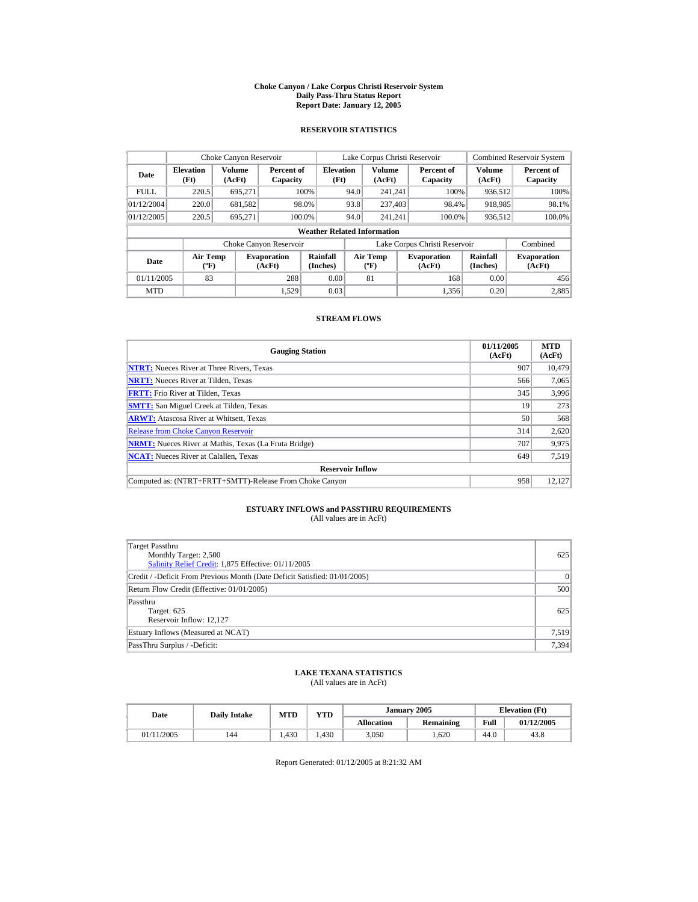#### **Choke Canyon / Lake Corpus Christi Reservoir System Daily Pass-Thru Status Report Report Date: January 12, 2005**

## **RESERVOIR STATISTICS**

|             | Choke Canyon Reservoir                      |                  |                              |                          | Lake Corpus Christi Reservoir |                                  |  |                               |                             | <b>Combined Reservoir System</b> |  |  |  |
|-------------|---------------------------------------------|------------------|------------------------------|--------------------------|-------------------------------|----------------------------------|--|-------------------------------|-----------------------------|----------------------------------|--|--|--|
| Date        | <b>Elevation</b><br>(Ft)                    | Volume<br>(AcFt) | Percent of<br>Capacity       | <b>Elevation</b><br>(Ft) |                               | Volume<br>(AcFt)                 |  | Percent of<br>Capacity        | Volume<br>(AcFt)            | Percent of<br>Capacity           |  |  |  |
| <b>FULL</b> | 220.5                                       | 695.271          |                              | 100%                     | 94.0                          | 241.241                          |  | 100%                          | 936.512                     | 100%                             |  |  |  |
| 01/12/2004  | 220.0                                       | 681,582          |                              | 98.0%                    | 93.8                          | 237,403                          |  | 98.4%                         | 918,985                     | 98.1%                            |  |  |  |
| 01/12/2005  | 220.5                                       | 695.271          | 100.0%                       |                          | 94.0                          | 241.241                          |  | 100.0%                        | 936,512                     | 100.0%                           |  |  |  |
|             | <b>Weather Related Information</b>          |                  |                              |                          |                               |                                  |  |                               |                             |                                  |  |  |  |
|             |                                             |                  | Choke Canyon Reservoir       |                          |                               |                                  |  | Lake Corpus Christi Reservoir |                             | Combined                         |  |  |  |
| Date        | <b>Air Temp</b><br>$({}^{\circ}\mathrm{F})$ |                  | <b>Evaporation</b><br>(AcFt) | Rainfall<br>(Inches)     |                               | <b>Air Temp</b><br>$(^{\circ}F)$ |  | <b>Evaporation</b><br>(AcFt)  | <b>Rainfall</b><br>(Inches) | <b>Evaporation</b><br>(AcFt)     |  |  |  |
| 01/11/2005  | 83                                          |                  | 288                          | 0.00                     |                               | 81                               |  | 168                           | 0.00                        | 456                              |  |  |  |
| <b>MTD</b>  |                                             |                  | 1.529                        | 0.03                     |                               |                                  |  | 1.356                         | 0.20                        | 2.885                            |  |  |  |

## **STREAM FLOWS**

| <b>Gauging Station</b>                                       | 01/11/2005<br>(AcFt) | <b>MTD</b><br>(AcFt) |
|--------------------------------------------------------------|----------------------|----------------------|
| <b>NTRT:</b> Nueces River at Three Rivers, Texas             | 907                  | 10.479               |
| <b>NRTT:</b> Nueces River at Tilden, Texas                   | 566                  | 7,065                |
| <b>FRTT:</b> Frio River at Tilden, Texas                     | 345                  | 3,996                |
| <b>SMTT:</b> San Miguel Creek at Tilden, Texas               | 19                   | 273                  |
| <b>ARWT:</b> Atascosa River at Whitsett, Texas               | 50                   | 568                  |
| <b>Release from Choke Canvon Reservoir</b>                   | 314                  | 2,620                |
| <b>NRMT:</b> Nueces River at Mathis, Texas (La Fruta Bridge) | 707                  | 9,975                |
| <b>NCAT:</b> Nueces River at Calallen, Texas                 | 649                  | 7,519                |
| <b>Reservoir Inflow</b>                                      |                      |                      |
| Computed as: (NTRT+FRTT+SMTT)-Release From Choke Canyon      | 958                  | 12.127               |

# **ESTUARY INFLOWS and PASSTHRU REQUIREMENTS**<br>(All values are in AcFt)

| Target Passthru<br>Monthly Target: 2,500<br>Salinity Relief Credit: 1,875 Effective: 01/11/2005 | 625       |
|-------------------------------------------------------------------------------------------------|-----------|
| Credit / -Deficit From Previous Month (Date Deficit Satisfied: 01/01/2005)                      | $\vert$ 0 |
| Return Flow Credit (Effective: 01/01/2005)                                                      | 500       |
| Passthru<br>Target: 625<br>Reservoir Inflow: 12,127                                             | 625       |
| Estuary Inflows (Measured at NCAT)                                                              | 7,519     |
| PassThru Surplus / -Deficit:                                                                    | 7,394     |

## **LAKE TEXANA STATISTICS**

(All values are in AcFt)

| Date       |     | <b>VTD</b><br>MTD<br><b>Daily Intake</b> |      |                   | January 2005 | <b>Elevation</b> (Ft) |            |
|------------|-----|------------------------------------------|------|-------------------|--------------|-----------------------|------------|
|            |     |                                          |      | <b>Allocation</b> | Remaining    | Full                  | 01/12/2005 |
| 01/11/2005 | 144 | .430                                     | .430 | 3,050             | .620         | 44.0                  | 43.8       |

Report Generated: 01/12/2005 at 8:21:32 AM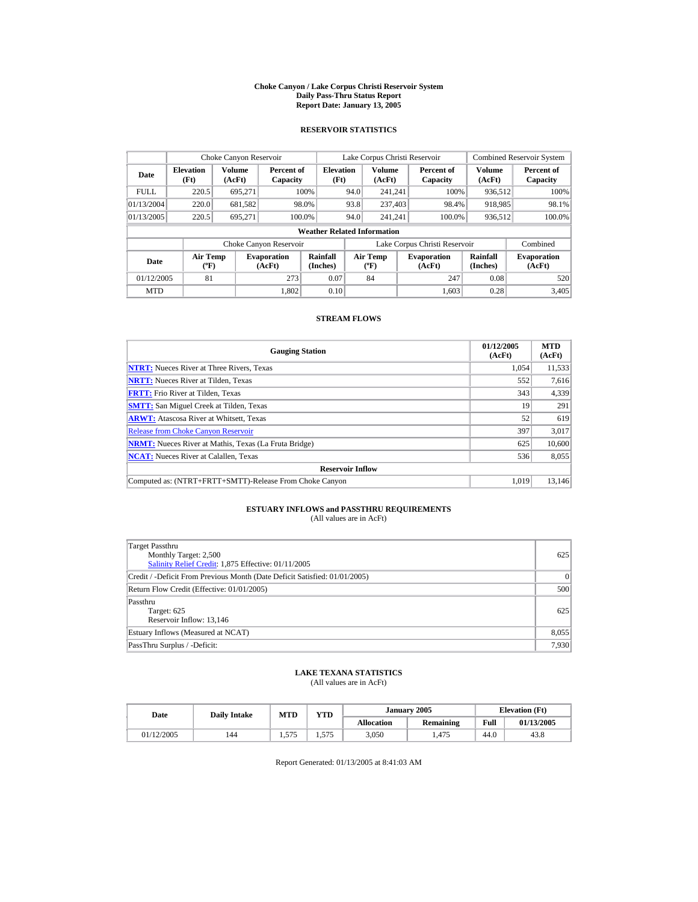#### **Choke Canyon / Lake Corpus Christi Reservoir System Daily Pass-Thru Status Report Report Date: January 13, 2005**

## **RESERVOIR STATISTICS**

|             | Choke Canyon Reservoir                      |                  |                              |                             | Lake Corpus Christi Reservoir |                                          |  |                               |                      | <b>Combined Reservoir System</b> |  |  |  |
|-------------|---------------------------------------------|------------------|------------------------------|-----------------------------|-------------------------------|------------------------------------------|--|-------------------------------|----------------------|----------------------------------|--|--|--|
| Date        | <b>Elevation</b><br>(Ft)                    | Volume<br>(AcFt) | Percent of<br>Capacity       | <b>Elevation</b><br>(Ft)    |                               | <b>Volume</b><br>(AcFt)                  |  | Percent of<br>Capacity        | Volume<br>(AcFt)     | Percent of<br>Capacity           |  |  |  |
| <b>FULL</b> | 220.5                                       | 695.271          |                              | 100%                        | 94.0                          | 241.241                                  |  | 100%                          | 936.512              | 100%                             |  |  |  |
| 01/13/2004  | 220.0                                       | 681,582          |                              | 98.0%                       | 93.8                          | 237,403                                  |  | 98.4%                         | 918,985              | 98.1%                            |  |  |  |
| 01/13/2005  | 220.5                                       | 695.271          |                              | 100.0%                      | 94.0                          | 241.241                                  |  | 100.0%                        | 936,512              | 100.0%                           |  |  |  |
|             | <b>Weather Related Information</b>          |                  |                              |                             |                               |                                          |  |                               |                      |                                  |  |  |  |
|             |                                             |                  | Choke Canyon Reservoir       |                             |                               |                                          |  | Lake Corpus Christi Reservoir |                      | Combined                         |  |  |  |
| Date        | <b>Air Temp</b><br>$({}^{\circ}\mathrm{F})$ |                  | <b>Evaporation</b><br>(AcFt) | <b>Rainfall</b><br>(Inches) |                               | <b>Air Temp</b><br>$({}^{\circ}{\rm F})$ |  | <b>Evaporation</b><br>(AcFt)  | Rainfall<br>(Inches) | <b>Evaporation</b><br>(AcFt)     |  |  |  |
| 01/12/2005  | 81                                          |                  | 273                          | 0.07                        |                               | 84                                       |  | 247                           | 0.08                 | 520                              |  |  |  |
| <b>MTD</b>  |                                             |                  | 1.802                        | 0.10                        |                               |                                          |  | 1.603                         | 0.28                 | 3.405                            |  |  |  |

## **STREAM FLOWS**

| <b>Gauging Station</b>                                       | 01/12/2005<br>(AcFt) | <b>MTD</b><br>(AcFt) |
|--------------------------------------------------------------|----------------------|----------------------|
| <b>NTRT:</b> Nueces River at Three Rivers, Texas             | 1.054                | 11,533               |
| <b>NRTT:</b> Nueces River at Tilden, Texas                   | 552                  | 7,616                |
| <b>FRTT:</b> Frio River at Tilden, Texas                     | 343                  | 4,339                |
| <b>SMTT:</b> San Miguel Creek at Tilden, Texas               | 19                   | 291                  |
| <b>ARWT:</b> Atascosa River at Whitsett, Texas               | 52                   | 619                  |
| <b>Release from Choke Canvon Reservoir</b>                   | 397                  | 3,017                |
| <b>NRMT:</b> Nueces River at Mathis, Texas (La Fruta Bridge) | 625                  | 10,600               |
| <b>NCAT:</b> Nueces River at Calallen, Texas                 | 536                  | 8,055                |
| <b>Reservoir Inflow</b>                                      |                      |                      |
| Computed as: (NTRT+FRTT+SMTT)-Release From Choke Canyon      | 1.019                | 13.146               |

# **ESTUARY INFLOWS and PASSTHRU REQUIREMENTS**<br>(All values are in AcFt)

| Target Passthru<br>Monthly Target: 2,500<br>Salinity Relief Credit: 1,875 Effective: 01/11/2005 | 625   |
|-------------------------------------------------------------------------------------------------|-------|
| Credit / -Deficit From Previous Month (Date Deficit Satisfied: 01/01/2005)                      | 0     |
| Return Flow Credit (Effective: 01/01/2005)                                                      | 500   |
| Passthru<br>Target: 625<br>Reservoir Inflow: 13,146                                             | 625   |
| Estuary Inflows (Measured at NCAT)                                                              | 8,055 |
| PassThru Surplus / -Deficit:                                                                    | 7,930 |

## **LAKE TEXANA STATISTICS**

(All values are in AcFt)

| Date       | <b>Daily Intake</b> | MTD          | <b>VTD</b>  |                   | January 2005 | <b>Elevation</b> (Ft) |            |  |
|------------|---------------------|--------------|-------------|-------------------|--------------|-----------------------|------------|--|
|            |                     |              |             | <b>Allocation</b> | Remaining    | Full                  | 01/13/2005 |  |
| 01/12/2005 | 144                 | 575<br>1.J/J | 575<br>ل ال | 3,050             | 1.475        | 44.0                  | 43.8       |  |

Report Generated: 01/13/2005 at 8:41:03 AM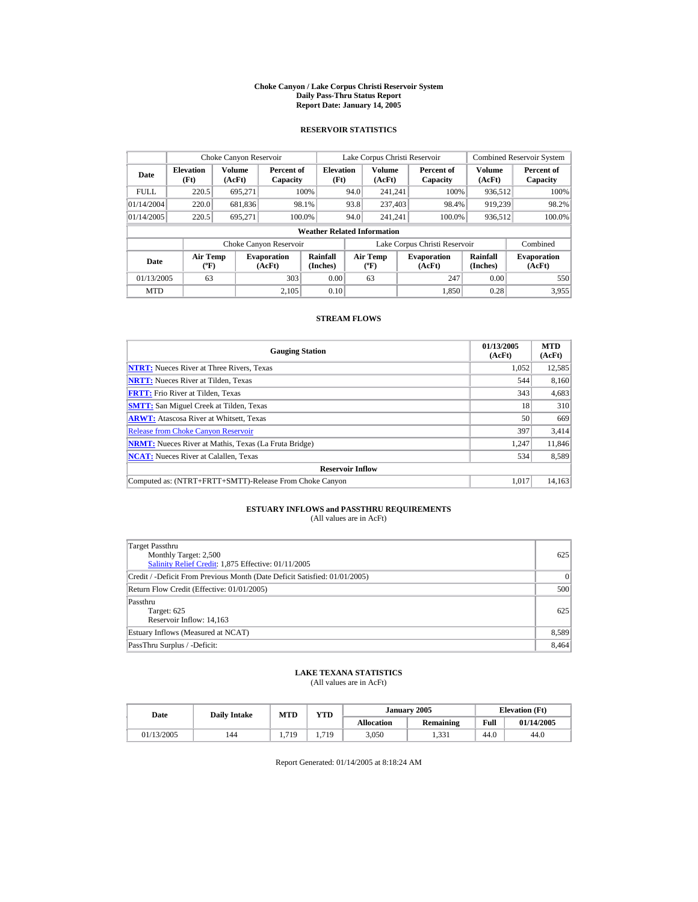#### **Choke Canyon / Lake Corpus Christi Reservoir System Daily Pass-Thru Status Report Report Date: January 14, 2005**

## **RESERVOIR STATISTICS**

|             | Choke Canyon Reservoir                      |                  |                              |                             | Lake Corpus Christi Reservoir |                                          |  |                               | <b>Combined Reservoir System</b> |                              |  |  |
|-------------|---------------------------------------------|------------------|------------------------------|-----------------------------|-------------------------------|------------------------------------------|--|-------------------------------|----------------------------------|------------------------------|--|--|
| Date        | <b>Elevation</b><br>(Ft)                    | Volume<br>(AcFt) | Percent of<br>Capacity       | <b>Elevation</b><br>(Ft)    |                               | <b>Volume</b><br>(AcFt)                  |  | Percent of<br>Capacity        | Volume<br>(AcFt)                 | Percent of<br>Capacity       |  |  |
| <b>FULL</b> | 220.5                                       | 695.271          |                              | 100%                        | 94.0                          | 241.241                                  |  | 100%                          | 936.512                          | 100%                         |  |  |
| 01/14/2004  | 220.0                                       | 681,836          |                              | 98.1%                       | 93.8                          | 237,403                                  |  | 98.4%                         | 919.239                          | 98.2%                        |  |  |
| 01/14/2005  | 220.5                                       | 695.271          |                              | 100.0%                      | 94.0                          | 241.241                                  |  | 100.0%                        | 936,512                          | 100.0%                       |  |  |
|             | <b>Weather Related Information</b>          |                  |                              |                             |                               |                                          |  |                               |                                  |                              |  |  |
|             |                                             |                  | Choke Canyon Reservoir       |                             |                               |                                          |  | Lake Corpus Christi Reservoir |                                  | Combined                     |  |  |
| Date        | <b>Air Temp</b><br>$({}^{\circ}\mathrm{F})$ |                  | <b>Evaporation</b><br>(AcFt) | <b>Rainfall</b><br>(Inches) |                               | <b>Air Temp</b><br>$({}^{\circ}{\rm F})$ |  | <b>Evaporation</b><br>(AcFt)  | Rainfall<br>(Inches)             | <b>Evaporation</b><br>(AcFt) |  |  |
| 01/13/2005  | 63                                          |                  | 303                          | 0.00                        |                               | 63                                       |  | 247                           | 0.00                             | 550                          |  |  |
| <b>MTD</b>  |                                             |                  | 2.105                        | 0.10                        |                               |                                          |  | 1.850                         | 0.28                             | 3.955                        |  |  |

## **STREAM FLOWS**

| <b>Gauging Station</b>                                       | 01/13/2005<br>(AcFt) | <b>MTD</b><br>(AcFt) |
|--------------------------------------------------------------|----------------------|----------------------|
| <b>NTRT:</b> Nueces River at Three Rivers, Texas             | 1,052                | 12,585               |
| <b>NRTT:</b> Nueces River at Tilden, Texas                   | 544                  | 8,160                |
| <b>FRTT:</b> Frio River at Tilden, Texas                     | 343                  | 4,683                |
| <b>SMTT:</b> San Miguel Creek at Tilden, Texas               | 18                   | 310                  |
| <b>ARWT:</b> Atascosa River at Whitsett, Texas               | 50                   | 669                  |
| <b>Release from Choke Canyon Reservoir</b>                   | 397                  | 3,414                |
| <b>NRMT:</b> Nueces River at Mathis, Texas (La Fruta Bridge) | 1.247                | 11.846               |
| <b>NCAT:</b> Nueces River at Calallen, Texas                 | 534                  | 8,589                |
| <b>Reservoir Inflow</b>                                      |                      |                      |
| Computed as: (NTRT+FRTT+SMTT)-Release From Choke Canyon      | 1.017                | 14.163               |

# **ESTUARY INFLOWS and PASSTHRU REQUIREMENTS**<br>(All values are in AcFt)

| Target Passthru<br>Monthly Target: 2,500<br>Salinity Relief Credit: 1,875 Effective: 01/11/2005 | 625   |
|-------------------------------------------------------------------------------------------------|-------|
| Credit / -Deficit From Previous Month (Date Deficit Satisfied: 01/01/2005)                      | 0     |
| Return Flow Credit (Effective: 01/01/2005)                                                      | 500   |
| Passthru<br>Target: 625<br>Reservoir Inflow: 14,163                                             | 625   |
| Estuary Inflows (Measured at NCAT)                                                              | 8,589 |
| PassThru Surplus / -Deficit:                                                                    | 8,464 |

## **LAKE TEXANA STATISTICS**

(All values are in AcFt)

| Date |            | <b>Daily Intake</b> | MTD  | <b>VTD</b> |                   | <b>January 2005</b> | <b>Elevation</b> (Ft) |            |
|------|------------|---------------------|------|------------|-------------------|---------------------|-----------------------|------------|
|      |            |                     |      |            | <b>Allocation</b> | Remaining           | Full                  | 01/14/2005 |
|      | 01/13/2005 | 144                 | .719 | 1.719      | 3,050             | 33'<br>1 ت ب        | 44.0                  | 44.0       |

Report Generated: 01/14/2005 at 8:18:24 AM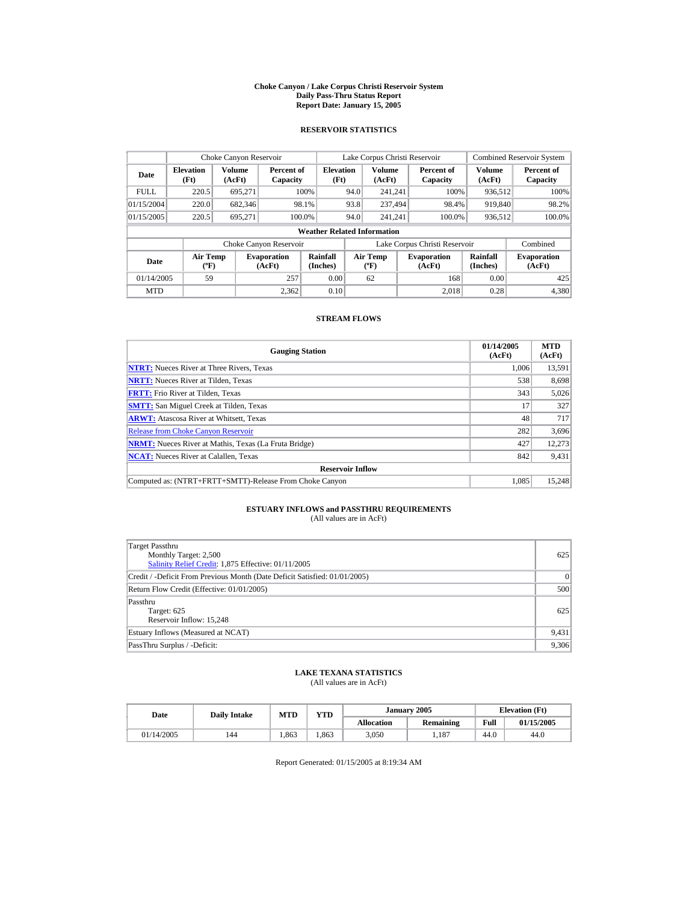#### **Choke Canyon / Lake Corpus Christi Reservoir System Daily Pass-Thru Status Report Report Date: January 15, 2005**

## **RESERVOIR STATISTICS**

|             | Choke Canyon Reservoir                      |                  |                              |                          | Lake Corpus Christi Reservoir |                                          |  |                               |                      | <b>Combined Reservoir System</b> |  |  |
|-------------|---------------------------------------------|------------------|------------------------------|--------------------------|-------------------------------|------------------------------------------|--|-------------------------------|----------------------|----------------------------------|--|--|
| Date        | <b>Elevation</b><br>(Ft)                    | Volume<br>(AcFt) | Percent of<br>Capacity       | <b>Elevation</b><br>(Ft) |                               | <b>Volume</b><br>(AcFt)                  |  | Percent of<br>Capacity        | Volume<br>(AcFt)     | Percent of<br>Capacity           |  |  |
| <b>FULL</b> | 220.5                                       | 695.271          |                              | 100%                     | 94.0                          | 241.241                                  |  | 100%                          | 936.512              | 100%                             |  |  |
| 01/15/2004  | 220.0                                       | 682,346          |                              | 98.1%                    | 93.8                          | 237.494                                  |  | 98.4%                         | 919,840              | 98.2%                            |  |  |
| 01/15/2005  | 220.5                                       | 695.271          | 100.0%                       |                          | 94.0                          | 241.241                                  |  | 100.0%                        | 936,512              | 100.0%                           |  |  |
|             | <b>Weather Related Information</b>          |                  |                              |                          |                               |                                          |  |                               |                      |                                  |  |  |
|             |                                             |                  | Choke Canyon Reservoir       |                          |                               |                                          |  | Lake Corpus Christi Reservoir |                      | Combined                         |  |  |
| Date        | <b>Air Temp</b><br>$({}^{\circ}\mathrm{F})$ |                  | <b>Evaporation</b><br>(AcFt) | Rainfall<br>(Inches)     |                               | <b>Air Temp</b><br>$({}^{\circ}{\rm F})$ |  | <b>Evaporation</b><br>(AcFt)  | Rainfall<br>(Inches) | <b>Evaporation</b><br>(AcFt)     |  |  |
| 01/14/2005  | 59                                          |                  | 257                          | 0.00                     |                               | 62                                       |  | 168                           | 0.00                 | 425                              |  |  |
| <b>MTD</b>  |                                             |                  | 2.362                        | 0.10                     |                               |                                          |  | 2.018                         | 0.28                 | 4.380                            |  |  |

## **STREAM FLOWS**

| <b>Gauging Station</b>                                       | 01/14/2005<br>(AcFt) | <b>MTD</b><br>(AcFt) |
|--------------------------------------------------------------|----------------------|----------------------|
| <b>NTRT:</b> Nueces River at Three Rivers, Texas             | 1.006                | 13,591               |
| <b>NRTT:</b> Nueces River at Tilden, Texas                   | 538                  | 8,698                |
| <b>FRTT:</b> Frio River at Tilden, Texas                     | 343                  | 5,026                |
| <b>SMTT:</b> San Miguel Creek at Tilden, Texas               | 17                   | 327                  |
| <b>ARWT:</b> Atascosa River at Whitsett, Texas               | 48                   | 717                  |
| <b>Release from Choke Canvon Reservoir</b>                   | 282                  | 3,696                |
| <b>NRMT:</b> Nueces River at Mathis, Texas (La Fruta Bridge) | 427                  | 12,273               |
| <b>NCAT:</b> Nueces River at Calallen, Texas                 | 842                  | 9,431                |
| <b>Reservoir Inflow</b>                                      |                      |                      |
| Computed as: (NTRT+FRTT+SMTT)-Release From Choke Canyon      | 1.085                | 15.248               |

# **ESTUARY INFLOWS and PASSTHRU REQUIREMENTS**<br>(All values are in AcFt)

| Target Passthru<br>Monthly Target: 2,500<br>Salinity Relief Credit: 1,875 Effective: 01/11/2005 | 625       |
|-------------------------------------------------------------------------------------------------|-----------|
| Credit / -Deficit From Previous Month (Date Deficit Satisfied: 01/01/2005)                      | $\vert$ 0 |
| Return Flow Credit (Effective: 01/01/2005)                                                      | 500       |
| Passthru<br>Target: 625<br>Reservoir Inflow: 15,248                                             | 625       |
| Estuary Inflows (Measured at NCAT)                                                              | 9,431     |
| PassThru Surplus / -Deficit:                                                                    | 9,306     |

## **LAKE TEXANA STATISTICS**

(All values are in AcFt)

| Date       | <b>Daily Intake</b> |      | January 2005<br>VTD<br>MTD |                   | <b>Elevation</b> (Ft) |      |            |
|------------|---------------------|------|----------------------------|-------------------|-----------------------|------|------------|
|            |                     |      |                            | <b>Allocation</b> | Remaining             | Full | 01/15/2005 |
| 01/14/2005 | 144                 | .863 | .863                       | 3,050             | 1.187                 | 44.0 | 44.0       |

Report Generated: 01/15/2005 at 8:19:34 AM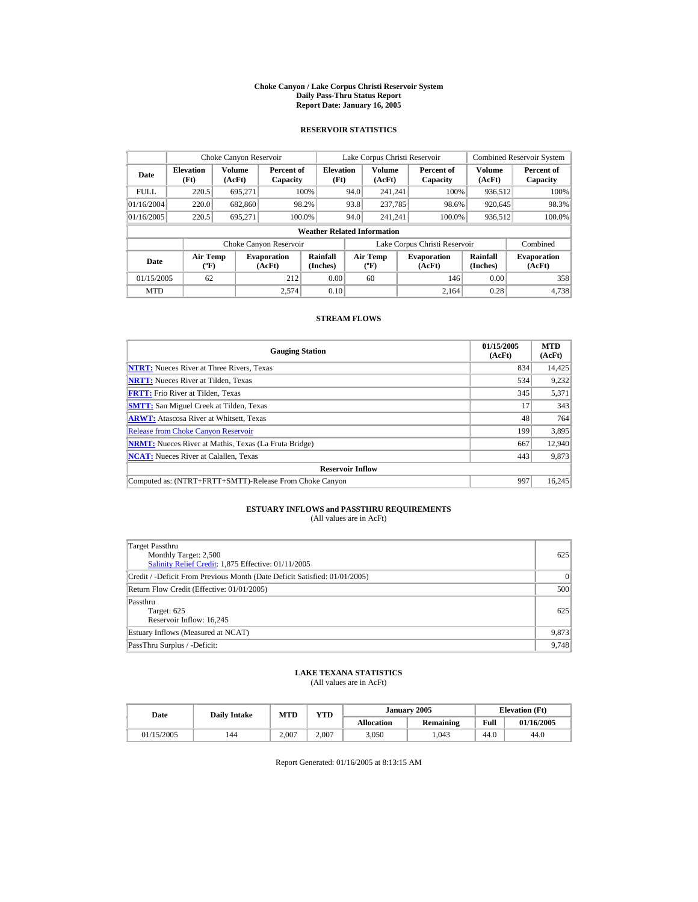#### **Choke Canyon / Lake Corpus Christi Reservoir System Daily Pass-Thru Status Report Report Date: January 16, 2005**

## **RESERVOIR STATISTICS**

|             | Choke Canyon Reservoir                |                  |                              |                          | Lake Corpus Christi Reservoir |                                                  |  |                               |                         | <b>Combined Reservoir System</b> |  |  |  |
|-------------|---------------------------------------|------------------|------------------------------|--------------------------|-------------------------------|--------------------------------------------------|--|-------------------------------|-------------------------|----------------------------------|--|--|--|
| Date        | <b>Elevation</b><br>(Ft)              | Volume<br>(AcFt) | Percent of<br>Capacity       | <b>Elevation</b><br>(Ft) |                               | <b>Volume</b><br>(AcFt)                          |  | Percent of<br>Capacity        | <b>Volume</b><br>(AcFt) | Percent of<br>Capacity           |  |  |  |
| <b>FULL</b> | 220.5                                 | 695.271          |                              | 100%                     | 94.0                          | 241.241                                          |  | 100%                          | 936,512                 | 100%                             |  |  |  |
| 01/16/2004  | 220.0                                 | 682,860          |                              | 98.2%                    | 93.8                          | 237,785                                          |  | 98.6%                         | 920.645                 | 98.3%                            |  |  |  |
| 01/16/2005  | 220.5                                 | 695.271          |                              | 100.0%                   | 94.0                          | 241.241                                          |  | 100.0%                        | 936,512                 | 100.0%                           |  |  |  |
|             | <b>Weather Related Information</b>    |                  |                              |                          |                               |                                                  |  |                               |                         |                                  |  |  |  |
|             |                                       |                  | Choke Canyon Reservoir       |                          |                               |                                                  |  | Lake Corpus Christi Reservoir |                         | Combined                         |  |  |  |
| Date        | <b>Air Temp</b><br>$({}^o\mathrm{F})$ |                  | <b>Evaporation</b><br>(AcFt) | Rainfall<br>(Inches)     |                               | <b>Air Temp</b><br>$({}^{\mathrm{o}}\mathrm{F})$ |  | <b>Evaporation</b><br>(AcFt)  | Rainfall<br>(Inches)    | <b>Evaporation</b><br>(AcFt)     |  |  |  |
| 01/15/2005  | 62                                    |                  | 212                          | 0.00                     |                               | 60                                               |  | 146                           | 0.00                    | 358                              |  |  |  |
| <b>MTD</b>  |                                       |                  | 2,574                        | 0.10                     |                               |                                                  |  | 2.164                         | 0.28                    | 4.738                            |  |  |  |

## **STREAM FLOWS**

| <b>Gauging Station</b>                                       | 01/15/2005<br>(AcFt) | <b>MTD</b><br>(AcFt) |
|--------------------------------------------------------------|----------------------|----------------------|
| <b>NTRT:</b> Nueces River at Three Rivers, Texas             | 834                  | 14,425               |
| <b>NRTT:</b> Nueces River at Tilden, Texas                   | 534                  | 9.232                |
| <b>FRTT:</b> Frio River at Tilden, Texas                     | 345                  | 5,371                |
| <b>SMTT:</b> San Miguel Creek at Tilden, Texas               | 17                   | 343                  |
| <b>ARWT:</b> Atascosa River at Whitsett, Texas               | 48                   | 764                  |
| <b>Release from Choke Canvon Reservoir</b>                   | 199                  | 3,895                |
| <b>NRMT:</b> Nueces River at Mathis, Texas (La Fruta Bridge) | 667                  | 12.940               |
| <b>NCAT:</b> Nueces River at Calallen, Texas                 | 443                  | 9,873                |
| <b>Reservoir Inflow</b>                                      |                      |                      |
| Computed as: (NTRT+FRTT+SMTT)-Release From Choke Canyon      | 997                  | 16.245               |

# **ESTUARY INFLOWS and PASSTHRU REQUIREMENTS**<br>(All values are in AcFt)

| Target Passthru<br>Monthly Target: 2,500<br>Salinity Relief Credit: 1,875 Effective: 01/11/2005 | 625       |
|-------------------------------------------------------------------------------------------------|-----------|
| Credit / -Deficit From Previous Month (Date Deficit Satisfied: 01/01/2005)                      | $\vert$ 0 |
| Return Flow Credit (Effective: 01/01/2005)                                                      | 500       |
| Passthru<br>Target: 625<br>Reservoir Inflow: 16,245                                             | 625       |
| Estuary Inflows (Measured at NCAT)                                                              | 9,873     |
| PassThru Surplus / -Deficit:                                                                    | 9,748     |

## **LAKE TEXANA STATISTICS**

(All values are in AcFt)

| Date       | <b>Daily Intake</b> | MTD   | <b>VTD</b> |                   | January 2005 | <b>Elevation</b> (Ft) |            |
|------------|---------------------|-------|------------|-------------------|--------------|-----------------------|------------|
|            |                     |       |            | <b>Allocation</b> | Remaining    | Full                  | 01/16/2005 |
| 01/15/2005 | 144                 | 2.007 | 2.007      | 3,050             | .043         | 44.0                  | 44.0       |

Report Generated: 01/16/2005 at 8:13:15 AM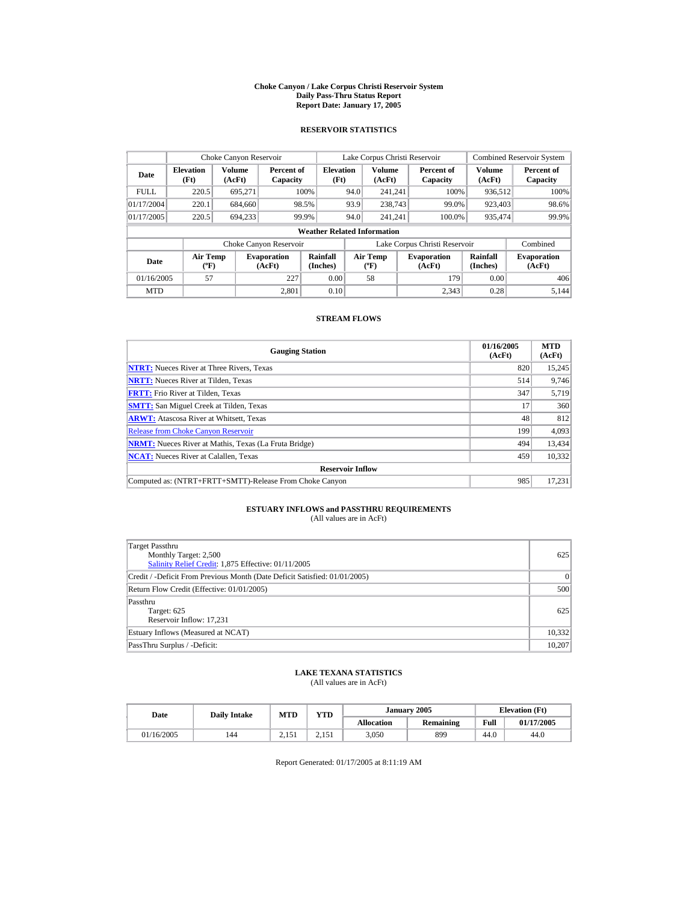#### **Choke Canyon / Lake Corpus Christi Reservoir System Daily Pass-Thru Status Report Report Date: January 17, 2005**

## **RESERVOIR STATISTICS**

|             | Choke Canyon Reservoir                      |                  |                              |                          | Lake Corpus Christi Reservoir |                                  |  |                               |                             | <b>Combined Reservoir System</b> |  |  |  |
|-------------|---------------------------------------------|------------------|------------------------------|--------------------------|-------------------------------|----------------------------------|--|-------------------------------|-----------------------------|----------------------------------|--|--|--|
| Date        | <b>Elevation</b><br>(Ft)                    | Volume<br>(AcFt) | Percent of<br>Capacity       | <b>Elevation</b><br>(Ft) |                               | Volume<br>(AcFt)                 |  | Percent of<br>Capacity        | Volume<br>(AcFt)            | Percent of<br>Capacity           |  |  |  |
| <b>FULL</b> | 220.5                                       | 695.271          |                              | 100%                     | 94.0                          | 241.241                          |  | 100%                          | 936,512                     | 100%                             |  |  |  |
| 01/17/2004  | 220.1                                       | 684,660          |                              | 98.5%                    | 93.9                          | 238,743                          |  | 99.0%                         | 923,403                     | 98.6%                            |  |  |  |
| 01/17/2005  | 220.5                                       | 694.233          |                              | 99.9%                    | 94.0                          | 241.241                          |  | 100.0%                        | 935,474                     | 99.9%                            |  |  |  |
|             | <b>Weather Related Information</b>          |                  |                              |                          |                               |                                  |  |                               |                             |                                  |  |  |  |
|             |                                             |                  | Choke Canyon Reservoir       |                          |                               |                                  |  | Lake Corpus Christi Reservoir |                             | Combined                         |  |  |  |
| Date        | <b>Air Temp</b><br>$({}^{\circ}\mathrm{F})$ |                  | <b>Evaporation</b><br>(AcFt) | Rainfall<br>(Inches)     |                               | <b>Air Temp</b><br>$(^{\circ}F)$ |  | <b>Evaporation</b><br>(AcFt)  | <b>Rainfall</b><br>(Inches) | <b>Evaporation</b><br>(AcFt)     |  |  |  |
| 01/16/2005  | 57                                          |                  | 227                          | 0.00                     |                               | 58                               |  | 179                           | 0.00                        | 406                              |  |  |  |
| <b>MTD</b>  |                                             |                  | 2.801                        | 0.10                     |                               |                                  |  | 2.343                         | 0.28                        | 5.144                            |  |  |  |

## **STREAM FLOWS**

| <b>Gauging Station</b>                                       | 01/16/2005<br>(AcFt) | <b>MTD</b><br>(AcFt) |
|--------------------------------------------------------------|----------------------|----------------------|
| <b>NTRT:</b> Nueces River at Three Rivers, Texas             | 820                  | 15,245               |
| <b>NRTT:</b> Nueces River at Tilden, Texas                   | 514                  | 9.746                |
| <b>FRTT:</b> Frio River at Tilden, Texas                     | 347                  | 5,719                |
| <b>SMTT:</b> San Miguel Creek at Tilden, Texas               | 17                   | 360                  |
| <b>ARWT:</b> Atascosa River at Whitsett, Texas               | 48                   | 812                  |
| <b>Release from Choke Canyon Reservoir</b>                   | 199                  | 4,093                |
| <b>NRMT:</b> Nueces River at Mathis, Texas (La Fruta Bridge) | 494                  | 13.434               |
| <b>NCAT:</b> Nueces River at Calallen, Texas                 | 459                  | 10.332               |
| <b>Reservoir Inflow</b>                                      |                      |                      |
| Computed as: (NTRT+FRTT+SMTT)-Release From Choke Canyon      | 985                  | 17.231               |

# **ESTUARY INFLOWS and PASSTHRU REQUIREMENTS**<br>(All values are in AcFt)

| Target Passthru<br>Monthly Target: 2,500<br>Salinity Relief Credit: 1,875 Effective: 01/11/2005 | 625    |
|-------------------------------------------------------------------------------------------------|--------|
| Credit / -Deficit From Previous Month (Date Deficit Satisfied: 01/01/2005)                      | 0      |
| Return Flow Credit (Effective: 01/01/2005)                                                      | 500    |
| Passthru<br>Target: 625<br>Reservoir Inflow: 17,231                                             | 625    |
| Estuary Inflows (Measured at NCAT)                                                              | 10,332 |
| PassThru Surplus / -Deficit:                                                                    | 10,207 |

## **LAKE TEXANA STATISTICS**

(All values are in AcFt)

| Date       | <b>Daily Intake</b> | MTD   | <b>VTD</b>                         |                   | January 2005 | <b>Elevation</b> (Ft) |            |
|------------|---------------------|-------|------------------------------------|-------------------|--------------|-----------------------|------------|
|            |                     |       |                                    | <b>Allocation</b> | Remaining    | Full                  | 01/17/2005 |
| 01/16/2005 | 144                 | 2.151 | ۰ ج<br>$\sim$ $\sim$ $\sim$ $\sim$ | 3,050             | 899          | 44.0                  | 44.0       |

Report Generated: 01/17/2005 at 8:11:19 AM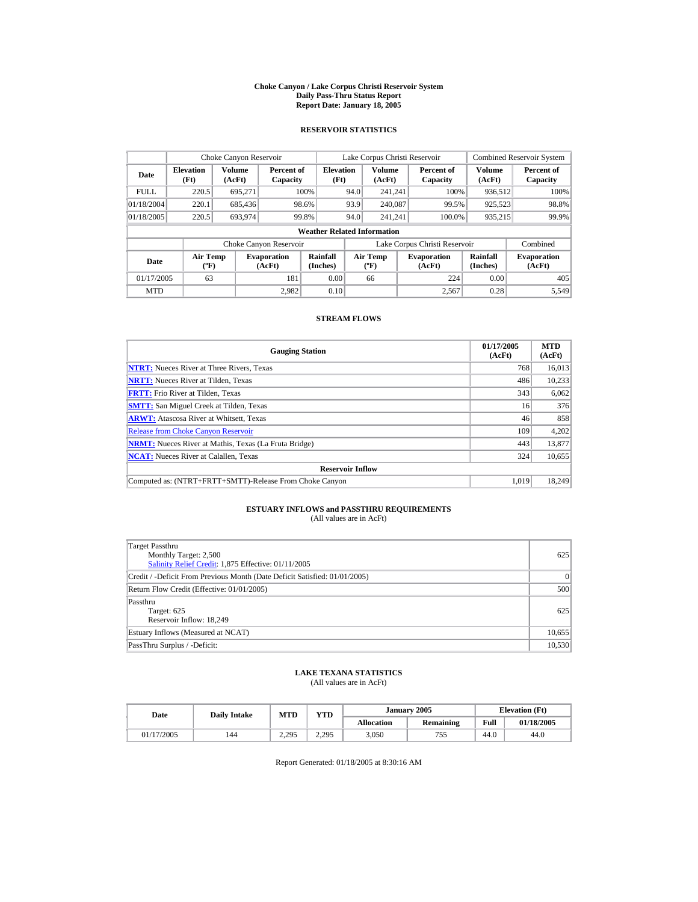#### **Choke Canyon / Lake Corpus Christi Reservoir System Daily Pass-Thru Status Report Report Date: January 18, 2005**

## **RESERVOIR STATISTICS**

|             | Choke Canyon Reservoir             |                  |                              |                          |      | Lake Corpus Christi Reservoir    |  |                               |                      | <b>Combined Reservoir System</b> |  |  |
|-------------|------------------------------------|------------------|------------------------------|--------------------------|------|----------------------------------|--|-------------------------------|----------------------|----------------------------------|--|--|
| Date        | <b>Elevation</b><br>(Ft)           | Volume<br>(AcFt) | Percent of<br>Capacity       | <b>Elevation</b><br>(Ft) |      | <b>Volume</b><br>(AcFt)          |  | Percent of<br>Capacity        | Volume<br>(AcFt)     | Percent of<br>Capacity           |  |  |
| <b>FULL</b> | 220.5                              | 695,271          |                              | 100%                     | 94.0 | 241.241                          |  | 100%                          | 936,512              | 100%                             |  |  |
| 01/18/2004  | 220.1                              | 685,436          |                              | 98.6%                    | 93.9 | 240,087                          |  | 99.5%                         | 925,523              | 98.8%                            |  |  |
| 01/18/2005  | 220.5                              | 693.974          |                              | 99.8%                    | 94.0 | 241.241                          |  | 100.0%                        | 935,215              | 99.9%                            |  |  |
|             | <b>Weather Related Information</b> |                  |                              |                          |      |                                  |  |                               |                      |                                  |  |  |
|             |                                    |                  | Choke Canyon Reservoir       |                          |      |                                  |  | Lake Corpus Christi Reservoir |                      | Combined                         |  |  |
| Date        | <b>Air Temp</b><br>$(^{\circ}F)$   |                  | <b>Evaporation</b><br>(AcFt) | Rainfall<br>(Inches)     |      | <b>Air Temp</b><br>$(^{\circ}F)$ |  | <b>Evaporation</b><br>(AcFt)  | Rainfall<br>(Inches) | <b>Evaporation</b><br>(AcFt)     |  |  |
| 01/17/2005  | 63                                 |                  | 181                          | 0.00                     |      | 66                               |  | 224                           | 0.00                 | 405                              |  |  |
| <b>MTD</b>  |                                    |                  | 2.982                        | 0.10                     |      |                                  |  | 2,567                         | 0.28                 | 5,549                            |  |  |

## **STREAM FLOWS**

| <b>Gauging Station</b>                                       | 01/17/2005<br>(AcFt) | <b>MTD</b><br>(AcFt) |
|--------------------------------------------------------------|----------------------|----------------------|
| <b>NTRT:</b> Nueces River at Three Rivers, Texas             | 768                  | 16,013               |
| <b>NRTT:</b> Nueces River at Tilden, Texas                   | 486                  | 10.233               |
| <b>FRTT:</b> Frio River at Tilden, Texas                     | 343                  | 6,062                |
| <b>SMTT:</b> San Miguel Creek at Tilden, Texas               | 16                   | 376                  |
| <b>ARWT:</b> Atascosa River at Whitsett, Texas               | 46                   | 858                  |
| <b>Release from Choke Canyon Reservoir</b>                   | 109                  | 4,202                |
| <b>NRMT:</b> Nueces River at Mathis, Texas (La Fruta Bridge) | 443                  | 13,877               |
| <b>NCAT:</b> Nueces River at Calallen, Texas                 | 324                  | 10,655               |
| <b>Reservoir Inflow</b>                                      |                      |                      |
| Computed as: (NTRT+FRTT+SMTT)-Release From Choke Canyon      | 1.019                | 18.249               |

# **ESTUARY INFLOWS and PASSTHRU REQUIREMENTS**<br>(All values are in AcFt)

| Target Passthru<br>Monthly Target: 2,500<br>Salinity Relief Credit: 1,875 Effective: 01/11/2005 | 625       |
|-------------------------------------------------------------------------------------------------|-----------|
| Credit / -Deficit From Previous Month (Date Deficit Satisfied: 01/01/2005)                      | $\vert$ 0 |
| Return Flow Credit (Effective: 01/01/2005)                                                      | 500       |
| Passthru<br>Target: 625<br>Reservoir Inflow: 18.249                                             | 625       |
| Estuary Inflows (Measured at NCAT)                                                              | 10,655    |
| PassThru Surplus / -Deficit:                                                                    | 10,530    |

## **LAKE TEXANA STATISTICS**

(All values are in AcFt)

| Date       | <b>Daily Intake</b> | MTD   | <b>VTD</b>     |                   | January 2005     | <b>Elevation</b> (Ft) |            |
|------------|---------------------|-------|----------------|-------------------|------------------|-----------------------|------------|
|            |                     |       |                | <b>Allocation</b> | <b>Remaining</b> | Full                  | 01/18/2005 |
| 01/17/2005 | 144                 | 2.295 | 2.295<br>ل و ت | 3,050             | 755<br>ں ر       | 44.0                  | 44.0       |

Report Generated: 01/18/2005 at 8:30:16 AM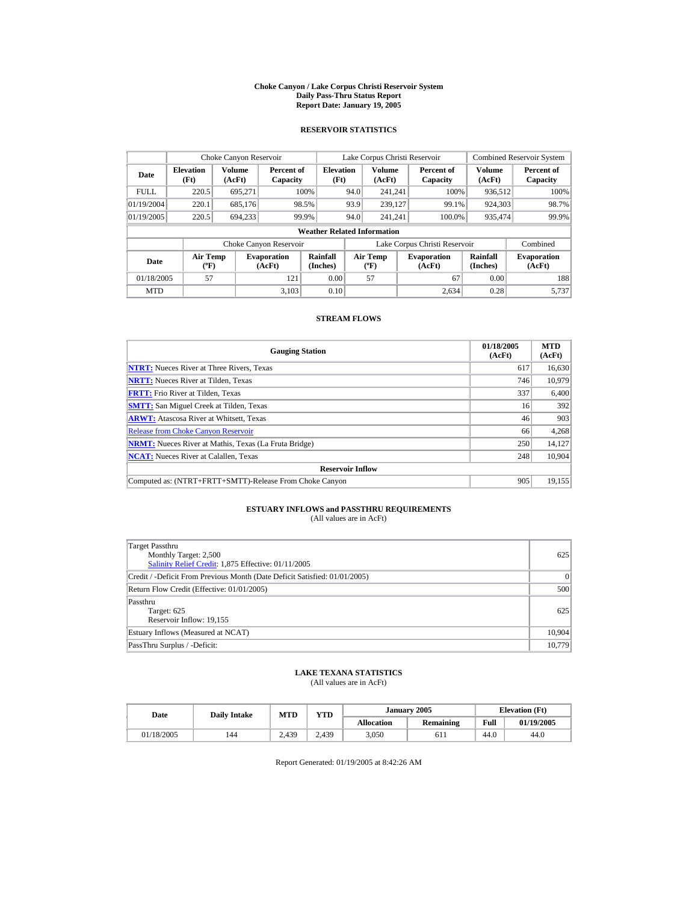#### **Choke Canyon / Lake Corpus Christi Reservoir System Daily Pass-Thru Status Report Report Date: January 19, 2005**

## **RESERVOIR STATISTICS**

|             | Choke Canyon Reservoir                      |                  |                              |                             | Lake Corpus Christi Reservoir |                                          |  |                               |                      | <b>Combined Reservoir System</b> |  |  |
|-------------|---------------------------------------------|------------------|------------------------------|-----------------------------|-------------------------------|------------------------------------------|--|-------------------------------|----------------------|----------------------------------|--|--|
| Date        | <b>Elevation</b><br>(Ft)                    | Volume<br>(AcFt) | Percent of<br>Capacity       | <b>Elevation</b><br>(Ft)    |                               | <b>Volume</b><br>(AcFt)                  |  | Percent of<br>Capacity        | Volume<br>(AcFt)     | Percent of<br>Capacity           |  |  |
| <b>FULL</b> | 220.5                                       | 695.271          |                              | 100%                        | 94.0                          | 241.241                                  |  | 100%                          | 936.512              | 100%                             |  |  |
| 01/19/2004  | 220.1                                       | 685,176          |                              | 98.5%                       | 93.9                          | 239,127                                  |  | 99.1%                         | 924.303              | 98.7%                            |  |  |
| 01/19/2005  | 220.5                                       | 694,233          |                              | 99.9%                       | 94.0                          | 241.241                                  |  | 100.0%                        | 935,474              | 99.9%                            |  |  |
|             | <b>Weather Related Information</b>          |                  |                              |                             |                               |                                          |  |                               |                      |                                  |  |  |
|             |                                             |                  | Choke Canyon Reservoir       |                             |                               |                                          |  | Lake Corpus Christi Reservoir |                      | Combined                         |  |  |
| Date        | <b>Air Temp</b><br>$({}^{\circ}\mathrm{F})$ |                  | <b>Evaporation</b><br>(AcFt) | <b>Rainfall</b><br>(Inches) |                               | <b>Air Temp</b><br>$({}^{\circ}{\rm F})$ |  | <b>Evaporation</b><br>(AcFt)  | Rainfall<br>(Inches) | <b>Evaporation</b><br>(AcFt)     |  |  |
| 01/18/2005  | 57                                          |                  | 121                          | 0.00                        |                               | 57                                       |  | 67                            | 0.00                 | 188                              |  |  |
| <b>MTD</b>  |                                             |                  | 3.103                        | 0.10                        |                               |                                          |  | 2.634                         | 0.28                 | 5.737                            |  |  |

## **STREAM FLOWS**

| <b>Gauging Station</b>                                       | 01/18/2005<br>(AcFt) | <b>MTD</b><br>(AcFt) |
|--------------------------------------------------------------|----------------------|----------------------|
| <b>NTRT:</b> Nueces River at Three Rivers, Texas             | 617                  | 16,630               |
| <b>NRTT:</b> Nueces River at Tilden, Texas                   | 746                  | 10.979               |
| <b>FRTT:</b> Frio River at Tilden, Texas                     | 337                  | 6,400                |
| <b>SMTT:</b> San Miguel Creek at Tilden, Texas               | 16                   | 392                  |
| <b>ARWT:</b> Atascosa River at Whitsett, Texas               | 46                   | 903                  |
| <b>Release from Choke Canvon Reservoir</b>                   | 66                   | 4,268                |
| <b>NRMT:</b> Nueces River at Mathis, Texas (La Fruta Bridge) | 250                  | 14,127               |
| <b>NCAT:</b> Nueces River at Calallen, Texas                 | 248                  | 10,904               |
| <b>Reservoir Inflow</b>                                      |                      |                      |
| Computed as: (NTRT+FRTT+SMTT)-Release From Choke Canyon      | 905                  | 19.155               |

# **ESTUARY INFLOWS and PASSTHRU REQUIREMENTS**<br>(All values are in AcFt)

| <b>Target Passthru</b><br>Monthly Target: 2,500<br>Salinity Relief Credit: 1,875 Effective: 01/11/2005 | 625       |
|--------------------------------------------------------------------------------------------------------|-----------|
| Credit / -Deficit From Previous Month (Date Deficit Satisfied: 01/01/2005)                             | $\vert$ 0 |
| Return Flow Credit (Effective: 01/01/2005)                                                             | 500       |
| Passthru<br>Target: 625<br>Reservoir Inflow: 19,155                                                    | 625       |
| Estuary Inflows (Measured at NCAT)                                                                     | 10,904    |
| PassThru Surplus / -Deficit:                                                                           | 10,779    |

## **LAKE TEXANA STATISTICS**

(All values are in AcFt)

| Date       | <b>Daily Intake</b> | <b>MTD</b> | <b>YTD</b> |                   | January 2005 |      | <b>Elevation</b> (Ft) |
|------------|---------------------|------------|------------|-------------------|--------------|------|-----------------------|
|            |                     |            |            | <b>Allocation</b> | Remaining    | Full | 01/19/2005            |
| 01/18/2005 | 144                 | 2.439      | 2.439      | 3,050             | 611          | 44.U | 44.0                  |

Report Generated: 01/19/2005 at 8:42:26 AM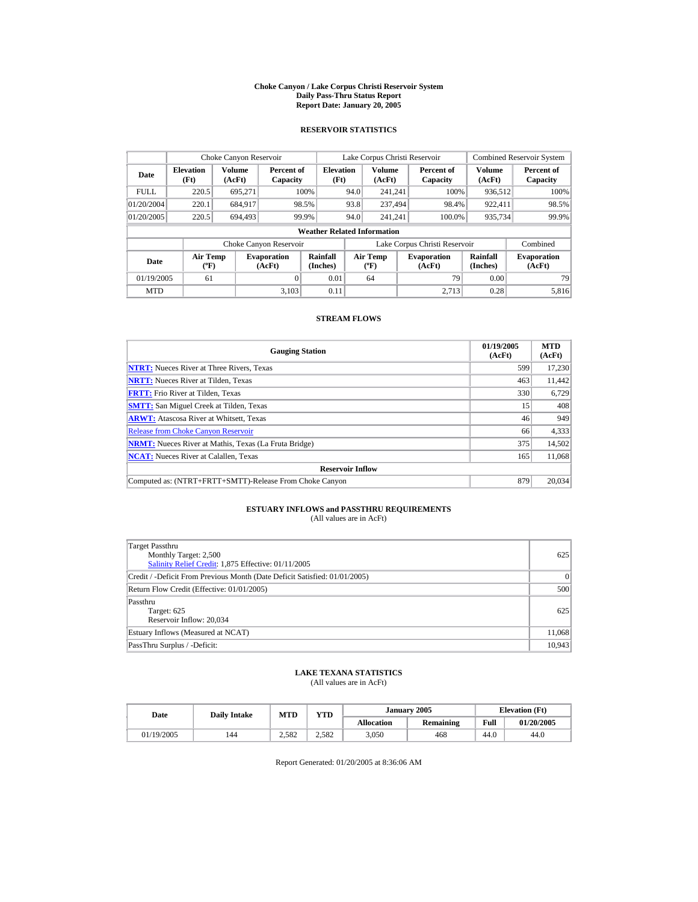#### **Choke Canyon / Lake Corpus Christi Reservoir System Daily Pass-Thru Status Report Report Date: January 20, 2005**

## **RESERVOIR STATISTICS**

| Choke Canyon Reservoir |                                             |                  |                              |                          | Lake Corpus Christi Reservoir |                                          |  |                               | <b>Combined Reservoir System</b> |                              |  |  |  |
|------------------------|---------------------------------------------|------------------|------------------------------|--------------------------|-------------------------------|------------------------------------------|--|-------------------------------|----------------------------------|------------------------------|--|--|--|
| Date                   | <b>Elevation</b><br>(Ft)                    | Volume<br>(AcFt) | Percent of<br>Capacity       | <b>Elevation</b><br>(Ft) |                               | <b>Volume</b><br>(AcFt)                  |  | Percent of<br>Capacity        | Volume<br>(AcFt)                 | Percent of<br>Capacity       |  |  |  |
| <b>FULL</b>            | 220.5                                       | 695.271          |                              | 100%                     | 94.0                          | 241.241                                  |  | 100%                          | 936.512                          | 100%                         |  |  |  |
| 01/20/2004             | 220.1                                       | 684.917          |                              | 98.5%                    | 93.8                          | 237.494                                  |  | 98.4%                         | 922.411                          | 98.5%                        |  |  |  |
| 01/20/2005             | 220.5                                       | 694,493          |                              | 99.9%                    | 94.0                          | 241.241                                  |  | 100.0%                        | 935,734                          | 99.9%                        |  |  |  |
|                        | <b>Weather Related Information</b>          |                  |                              |                          |                               |                                          |  |                               |                                  |                              |  |  |  |
|                        |                                             |                  | Choke Canyon Reservoir       |                          |                               |                                          |  | Lake Corpus Christi Reservoir |                                  | Combined                     |  |  |  |
| Date                   | <b>Air Temp</b><br>$({}^{\circ}\mathrm{F})$ |                  | <b>Evaporation</b><br>(AcFt) | Rainfall<br>(Inches)     |                               | <b>Air Temp</b><br>$({}^{\circ}{\rm F})$ |  | <b>Evaporation</b><br>(AcFt)  | Rainfall<br>(Inches)             | <b>Evaporation</b><br>(AcFt) |  |  |  |
| 01/19/2005             | 61                                          |                  | $\Omega$                     | 0.01                     |                               | 64                                       |  | 79                            | 0.00                             | 79                           |  |  |  |
| <b>MTD</b>             |                                             |                  | 3.103                        | 0.11                     |                               |                                          |  | 2.713                         | 0.28                             | 5.816                        |  |  |  |

## **STREAM FLOWS**

| <b>Gauging Station</b>                                       | 01/19/2005<br>(AcFt) | <b>MTD</b><br>(AcFt) |
|--------------------------------------------------------------|----------------------|----------------------|
| <b>NTRT:</b> Nueces River at Three Rivers, Texas             | 599                  | 17,230               |
| <b>NRTT:</b> Nueces River at Tilden, Texas                   | 463                  | 11,442               |
| <b>FRTT:</b> Frio River at Tilden, Texas                     | 330                  | 6,729                |
| <b>SMTT:</b> San Miguel Creek at Tilden, Texas               | 15                   | 408                  |
| <b>ARWT:</b> Atascosa River at Whitsett, Texas               | 46                   | 949                  |
| <b>Release from Choke Canyon Reservoir</b>                   | 66                   | 4,333                |
| <b>NRMT:</b> Nueces River at Mathis, Texas (La Fruta Bridge) | 375                  | 14,502               |
| <b>NCAT:</b> Nueces River at Calallen, Texas                 | 165                  | 11,068               |
| <b>Reservoir Inflow</b>                                      |                      |                      |
| Computed as: (NTRT+FRTT+SMTT)-Release From Choke Canyon      | 879                  | 20,034               |

# **ESTUARY INFLOWS and PASSTHRU REQUIREMENTS**<br>(All values are in AcFt)

| Target Passthru<br>Monthly Target: 2,500<br>Salinity Relief Credit: 1,875 Effective: 01/11/2005 | 625       |
|-------------------------------------------------------------------------------------------------|-----------|
| Credit / -Deficit From Previous Month (Date Deficit Satisfied: 01/01/2005)                      | $\vert$ 0 |
| Return Flow Credit (Effective: 01/01/2005)                                                      | 500       |
| Passthru<br>Target: 625<br>Reservoir Inflow: 20,034                                             | 625       |
| Estuary Inflows (Measured at NCAT)                                                              | 11,068    |
| PassThru Surplus / -Deficit:                                                                    | 10,943    |

## **LAKE TEXANA STATISTICS**

(All values are in AcFt)

| Date       | <b>Daily Intake</b> | MTD   | <b>VTD</b> |                   | January 2005 | <b>Elevation</b> (Ft) |            |
|------------|---------------------|-------|------------|-------------------|--------------|-----------------------|------------|
|            |                     |       |            | <b>Allocation</b> | Remaining    | Full                  | 01/20/2005 |
| 01/19/2005 | 144                 | 2.582 | 2.582      | 3,050             | 468          | 44.0                  | 44.0       |

Report Generated: 01/20/2005 at 8:36:06 AM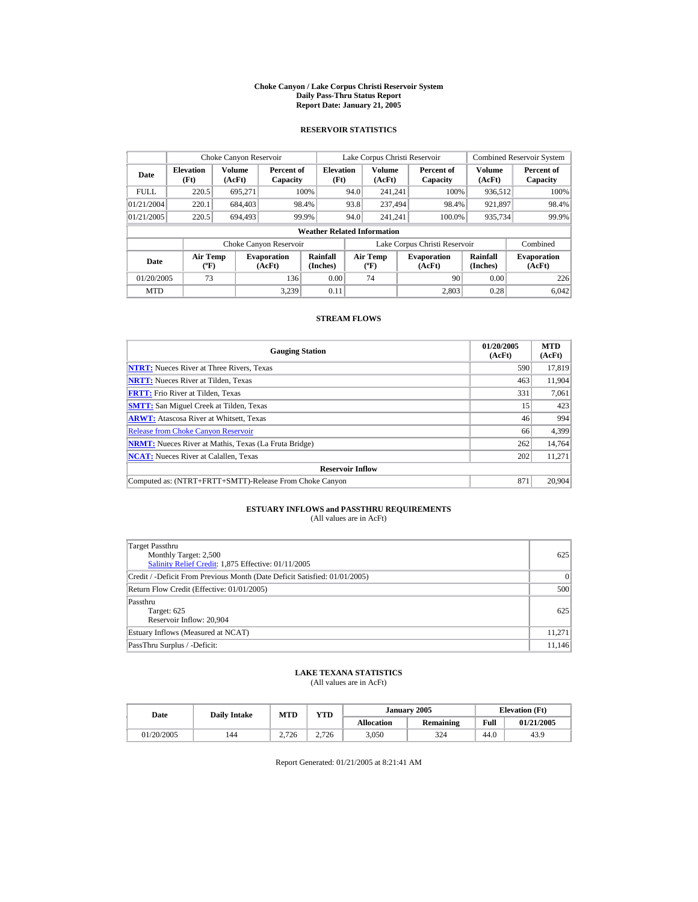#### **Choke Canyon / Lake Corpus Christi Reservoir System Daily Pass-Thru Status Report Report Date: January 21, 2005**

## **RESERVOIR STATISTICS**

|             | Choke Canyon Reservoir                      |                  |                              |                          | Lake Corpus Christi Reservoir |                                          |  |                               |                      | <b>Combined Reservoir System</b> |  |  |
|-------------|---------------------------------------------|------------------|------------------------------|--------------------------|-------------------------------|------------------------------------------|--|-------------------------------|----------------------|----------------------------------|--|--|
| Date        | <b>Elevation</b><br>(Ft)                    | Volume<br>(AcFt) | Percent of<br>Capacity       | <b>Elevation</b><br>(Ft) |                               | <b>Volume</b><br>(AcFt)                  |  | Percent of<br>Capacity        | Volume<br>(AcFt)     | Percent of<br>Capacity           |  |  |
| <b>FULL</b> | 220.5                                       | 695.271          |                              | 100%                     | 94.0                          | 241.241                                  |  | 100%                          | 936.512              | 100%                             |  |  |
| 01/21/2004  | 220.1                                       | 684,403          |                              | 98.4%                    | 93.8                          | 237.494                                  |  | 98.4%                         | 921,897              | 98.4%                            |  |  |
| 01/21/2005  | 220.5                                       | 694,493          |                              | 99.9%                    | 94.0                          | 241.241                                  |  | 100.0%                        | 935,734              | 99.9%                            |  |  |
|             | <b>Weather Related Information</b>          |                  |                              |                          |                               |                                          |  |                               |                      |                                  |  |  |
|             |                                             |                  | Choke Canyon Reservoir       |                          |                               |                                          |  | Lake Corpus Christi Reservoir |                      | Combined                         |  |  |
| Date        | <b>Air Temp</b><br>$({}^{\circ}\mathrm{F})$ |                  | <b>Evaporation</b><br>(AcFt) | Rainfall<br>(Inches)     |                               | <b>Air Temp</b><br>$({}^{\circ}{\rm F})$ |  | <b>Evaporation</b><br>(AcFt)  | Rainfall<br>(Inches) | <b>Evaporation</b><br>(AcFt)     |  |  |
| 01/20/2005  | 73                                          |                  | 136                          | 0.00                     |                               | 74                                       |  | 90                            | 0.00                 | 226                              |  |  |
| <b>MTD</b>  |                                             |                  | 3.239                        | 0.11                     |                               |                                          |  | 2.803                         | 0.28                 | 6.042                            |  |  |

## **STREAM FLOWS**

| <b>Gauging Station</b>                                       | 01/20/2005<br>(AcFt) | <b>MTD</b><br>(AcFt) |
|--------------------------------------------------------------|----------------------|----------------------|
| <b>NTRT:</b> Nueces River at Three Rivers, Texas             | 590                  | 17,819               |
| <b>NRTT:</b> Nueces River at Tilden, Texas                   | 463                  | 11.904               |
| <b>FRTT:</b> Frio River at Tilden, Texas                     | 331                  | 7,061                |
| <b>SMTT:</b> San Miguel Creek at Tilden, Texas               | 15                   | 423                  |
| <b>ARWT:</b> Atascosa River at Whitsett, Texas               | 46                   | 994                  |
| <b>Release from Choke Canyon Reservoir</b>                   | 66                   | 4,399                |
| <b>NRMT:</b> Nueces River at Mathis, Texas (La Fruta Bridge) | 262                  | 14.764               |
| <b>NCAT:</b> Nueces River at Calallen, Texas                 | 202                  | 11.271               |
| <b>Reservoir Inflow</b>                                      |                      |                      |
| Computed as: (NTRT+FRTT+SMTT)-Release From Choke Canyon      | 871                  | 20,904               |

# **ESTUARY INFLOWS and PASSTHRU REQUIREMENTS**<br>(All values are in AcFt)

| Target Passthru<br>Monthly Target: 2,500<br>Salinity Relief Credit: 1,875 Effective: 01/11/2005 | 625      |
|-------------------------------------------------------------------------------------------------|----------|
| Credit / -Deficit From Previous Month (Date Deficit Satisfied: 01/01/2005)                      | $\Omega$ |
| Return Flow Credit (Effective: 01/01/2005)                                                      | 500      |
| Passthru<br>Target: 625<br>Reservoir Inflow: 20,904                                             | 625      |
| Estuary Inflows (Measured at NCAT)                                                              | 11,271   |
| PassThru Surplus / -Deficit:                                                                    | 11,146   |

## **LAKE TEXANA STATISTICS**

(All values are in AcFt)

| Date       | <b>Daily Intake</b> | <b>MTD</b> | <b>YTD</b> |                   | January 2005 | <b>Elevation</b> (Ft) |            |
|------------|---------------------|------------|------------|-------------------|--------------|-----------------------|------------|
|            |                     |            |            | <b>Allocation</b> | Remaining    | Full                  | 01/21/2005 |
| 01/20/2005 | 144                 | 2.726      | 2.726      | 3,050             | 324          | 44.U                  | 43.9       |

Report Generated: 01/21/2005 at 8:21:41 AM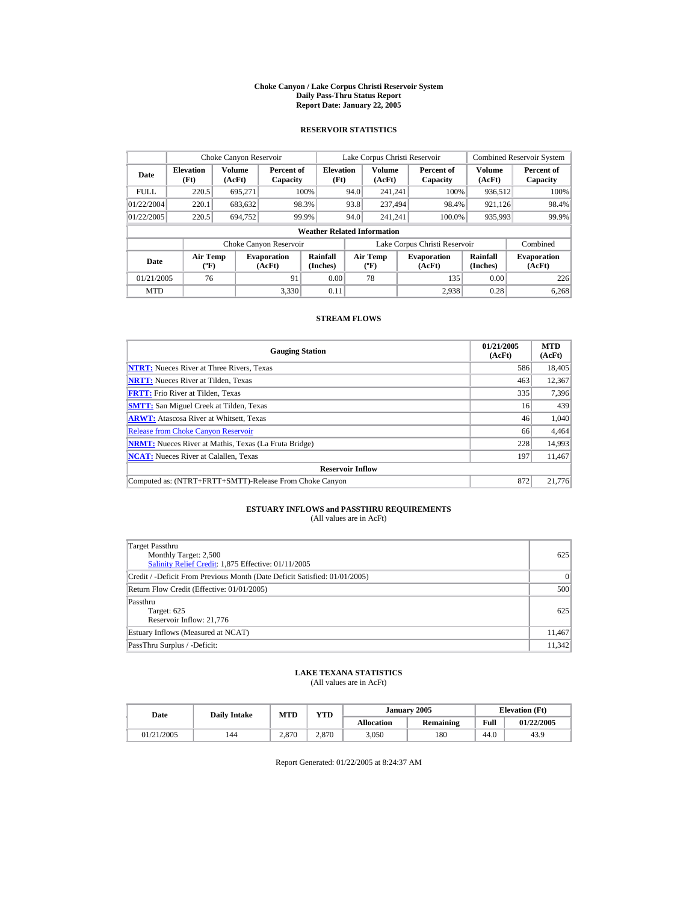#### **Choke Canyon / Lake Corpus Christi Reservoir System Daily Pass-Thru Status Report Report Date: January 22, 2005**

## **RESERVOIR STATISTICS**

|             | Choke Canyon Reservoir                      |                                                                                                                                                   |                        |                                    |      |                  | Lake Corpus Christi Reservoir |        |                  | <b>Combined Reservoir System</b> |
|-------------|---------------------------------------------|---------------------------------------------------------------------------------------------------------------------------------------------------|------------------------|------------------------------------|------|------------------|-------------------------------|--------|------------------|----------------------------------|
| Date        | <b>Elevation</b><br>(Ft)                    | Volume<br>(AcFt)                                                                                                                                  | Percent of<br>Capacity | <b>Elevation</b><br>(Ft)           |      | Volume<br>(AcFt) | Percent of<br>Capacity        |        | Volume<br>(AcFt) | Percent of<br>Capacity           |
| <b>FULL</b> | 220.5                                       | 695.271                                                                                                                                           |                        | 100%                               | 94.0 | 241.241          |                               | 100%   | 936,512          | 100%                             |
| 01/22/2004  | 220.1                                       | 683,632                                                                                                                                           |                        | 98.3%                              | 93.8 | 237.494          |                               | 98.4%  | 921.126          | 98.4%                            |
| 01/22/2005  | 220.5                                       | 694.752                                                                                                                                           |                        | 99.9%                              | 94.0 | 241.241          |                               | 100.0% | 935,993          | 99.9%                            |
|             |                                             |                                                                                                                                                   |                        | <b>Weather Related Information</b> |      |                  |                               |        |                  |                                  |
|             |                                             |                                                                                                                                                   | Choke Canyon Reservoir |                                    |      |                  | Lake Corpus Christi Reservoir |        |                  | Combined                         |
| Date        | <b>Air Temp</b><br>$({}^{\circ}\mathrm{F})$ | Rainfall<br>Rainfall<br>Air Temp<br><b>Evaporation</b><br><b>Evaporation</b><br>(Inches)<br>(Inches)<br>(AcFt)<br>(AcFt)<br>$({}^{\circ}{\rm F})$ |                        | <b>Evaporation</b><br>(AcFt)       |      |                  |                               |        |                  |                                  |
| 01/21/2005  | 76                                          |                                                                                                                                                   | 91                     | 0.00                               |      | 78               |                               | 135    | 0.00             | 226                              |
| <b>MTD</b>  |                                             |                                                                                                                                                   | 3.330                  | 0.11                               |      |                  |                               | 2.938  | 0.28             | 6.268                            |

## **STREAM FLOWS**

| <b>Gauging Station</b>                                       | 01/21/2005<br>(AcFt) | <b>MTD</b><br>(AcFt) |
|--------------------------------------------------------------|----------------------|----------------------|
| <b>NTRT:</b> Nueces River at Three Rivers, Texas             | 586                  | 18,405               |
| <b>NRTT:</b> Nueces River at Tilden, Texas                   | 463                  | 12,367               |
| <b>FRTT:</b> Frio River at Tilden, Texas                     | 335                  | 7,396                |
| <b>SMTT:</b> San Miguel Creek at Tilden, Texas               | 16                   | 439                  |
| <b>ARWT:</b> Atascosa River at Whitsett, Texas               | 46                   | 1,040                |
| <b>Release from Choke Canyon Reservoir</b>                   | 66                   | 4,464                |
| <b>NRMT:</b> Nueces River at Mathis, Texas (La Fruta Bridge) | 228                  | 14,993               |
| <b>NCAT:</b> Nueces River at Calallen, Texas                 | 197                  | 11,467               |
| <b>Reservoir Inflow</b>                                      |                      |                      |
| Computed as: (NTRT+FRTT+SMTT)-Release From Choke Canyon      | 872                  | 21,776               |

# **ESTUARY INFLOWS and PASSTHRU REQUIREMENTS**<br>(All values are in AcFt)

| Target Passthru<br>Monthly Target: 2,500<br>Salinity Relief Credit: 1,875 Effective: 01/11/2005 | 625    |
|-------------------------------------------------------------------------------------------------|--------|
| Credit / -Deficit From Previous Month (Date Deficit Satisfied: 01/01/2005)                      | 0      |
| Return Flow Credit (Effective: 01/01/2005)                                                      | 500    |
| Passthru<br>Target: 625<br>Reservoir Inflow: 21,776                                             | 625    |
| Estuary Inflows (Measured at NCAT)                                                              | 11,467 |
| PassThru Surplus / -Deficit:                                                                    | 11,342 |

## **LAKE TEXANA STATISTICS**

(All values are in AcFt)

| Date       | <b>Daily Intake</b> | MTD   | <b>VTD</b> |                   | January 2005 | <b>Elevation</b> (Ft) |            |  |
|------------|---------------------|-------|------------|-------------------|--------------|-----------------------|------------|--|
|            |                     |       |            | <b>Allocation</b> | Remaining    | Full                  | 01/22/2005 |  |
| 01/21/2005 | 144                 | 2.870 | 2.870      | 3,050             | 180          | 44.0                  | 43.9       |  |

Report Generated: 01/22/2005 at 8:24:37 AM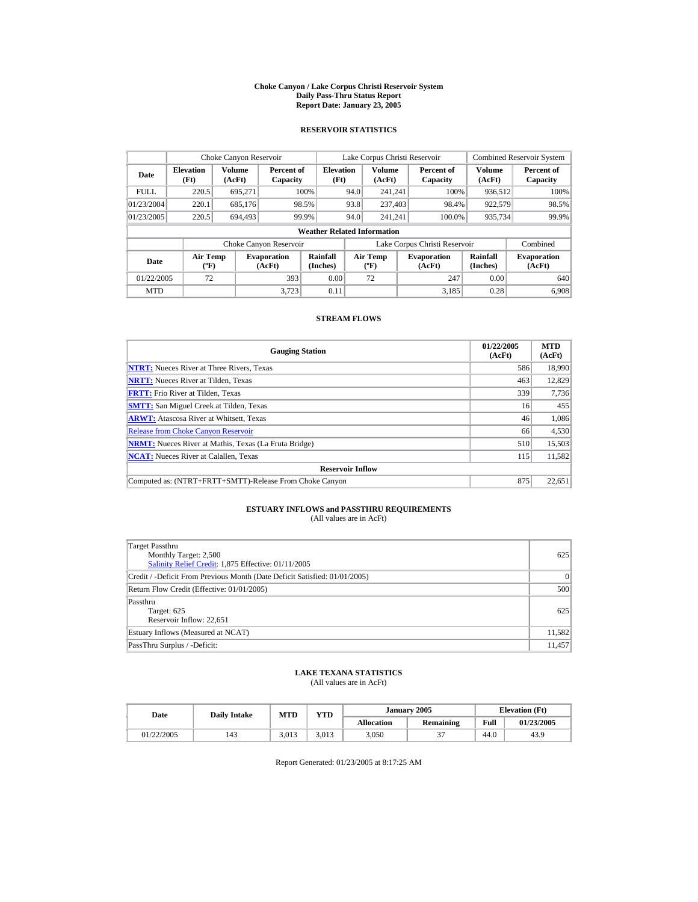#### **Choke Canyon / Lake Corpus Christi Reservoir System Daily Pass-Thru Status Report Report Date: January 23, 2005**

## **RESERVOIR STATISTICS**

| Choke Canyon Reservoir                                                              |                          |                      |                        |                                          |                              | Lake Corpus Christi Reservoir |                               |                  | <b>Combined Reservoir System</b> |
|-------------------------------------------------------------------------------------|--------------------------|----------------------|------------------------|------------------------------------------|------------------------------|-------------------------------|-------------------------------|------------------|----------------------------------|
| Date                                                                                | <b>Elevation</b><br>(Ft) | Volume<br>(AcFt)     | Percent of<br>Capacity | <b>Elevation</b><br>(Ft)                 |                              | <b>Volume</b><br>(AcFt)       | Percent of<br>Capacity        | Volume<br>(AcFt) | Percent of<br>Capacity           |
| <b>FULL</b>                                                                         | 220.5                    | 695.271              |                        | 100%                                     | 94.0                         | 241.241                       | 100%                          | 936.512          | 100%                             |
| 01/23/2004                                                                          | 220.1                    | 685,176              |                        | 98.5%                                    | 93.8                         | 237,403                       | 98.4%                         | 922,579          | 98.5%                            |
| 01/23/2005                                                                          | 220.5                    | 694.493              |                        | 99.9%                                    | 94.0                         | 241.241                       | 100.0%                        | 935,734          | 99.9%                            |
|                                                                                     |                          |                      |                        | <b>Weather Related Information</b>       |                              |                               |                               |                  |                                  |
|                                                                                     |                          |                      | Choke Canyon Reservoir |                                          |                              |                               | Lake Corpus Christi Reservoir |                  | Combined                         |
| <b>Air Temp</b><br><b>Evaporation</b><br>Date<br>$({}^{\circ}\mathrm{F})$<br>(AcFt) |                          | Rainfall<br>(Inches) |                        | <b>Air Temp</b><br>$({}^{\circ}{\rm F})$ | <b>Evaporation</b><br>(AcFt) | Rainfall<br>(Inches)          | <b>Evaporation</b><br>(AcFt)  |                  |                                  |
| 01/22/2005                                                                          | 72                       |                      | 393                    | 0.00                                     |                              | 72                            | 247                           | 0.00             | 640                              |
| <b>MTD</b>                                                                          |                          |                      | 3.723                  | 0.11                                     |                              |                               | 3.185                         | 0.28             | 6.908                            |

## **STREAM FLOWS**

| <b>Gauging Station</b>                                       | 01/22/2005<br>(AcFt) | <b>MTD</b><br>(AcFt) |
|--------------------------------------------------------------|----------------------|----------------------|
| <b>NTRT:</b> Nueces River at Three Rivers, Texas             | 586                  | 18,990               |
| <b>NRTT:</b> Nueces River at Tilden, Texas                   | 463                  | 12,829               |
| <b>FRTT:</b> Frio River at Tilden, Texas                     | 339                  | 7,736                |
| <b>SMTT:</b> San Miguel Creek at Tilden, Texas               | 16                   | 455                  |
| <b>ARWT:</b> Atascosa River at Whitsett, Texas               | 46                   | 1,086                |
| <b>Release from Choke Canyon Reservoir</b>                   | 66                   | 4,530                |
| <b>NRMT:</b> Nueces River at Mathis, Texas (La Fruta Bridge) | 510                  | 15,503               |
| <b>NCAT:</b> Nueces River at Calallen, Texas                 | 115                  | 11,582               |
| <b>Reservoir Inflow</b>                                      |                      |                      |
| Computed as: (NTRT+FRTT+SMTT)-Release From Choke Canyon      | 875                  | 22,651               |

# **ESTUARY INFLOWS and PASSTHRU REQUIREMENTS**<br>(All values are in AcFt)

| Target Passthru<br>Monthly Target: 2,500<br>Salinity Relief Credit: 1,875 Effective: 01/11/2005 | 625    |
|-------------------------------------------------------------------------------------------------|--------|
| Credit / -Deficit From Previous Month (Date Deficit Satisfied: 01/01/2005)                      | 0      |
| Return Flow Credit (Effective: 01/01/2005)                                                      | 500    |
| Passthru<br>Target: 625<br>Reservoir Inflow: 22,651                                             | 625    |
| Estuary Inflows (Measured at NCAT)                                                              | 11,582 |
| PassThru Surplus / -Deficit:                                                                    | 11,457 |

## **LAKE TEXANA STATISTICS**

(All values are in AcFt)

| Date       | <b>Daily Intake</b> | MTD   | <b>VTD</b> |                   | January 2005 | <b>Elevation</b> (Ft) |            |
|------------|---------------------|-------|------------|-------------------|--------------|-----------------------|------------|
|            |                     |       |            | <b>Allocation</b> | Remaining    | Full                  | 01/23/2005 |
| 01/22/2005 | 143                 | 3.013 | 3,013      | 3,050             |              | 44.0                  | 43.9       |

Report Generated: 01/23/2005 at 8:17:25 AM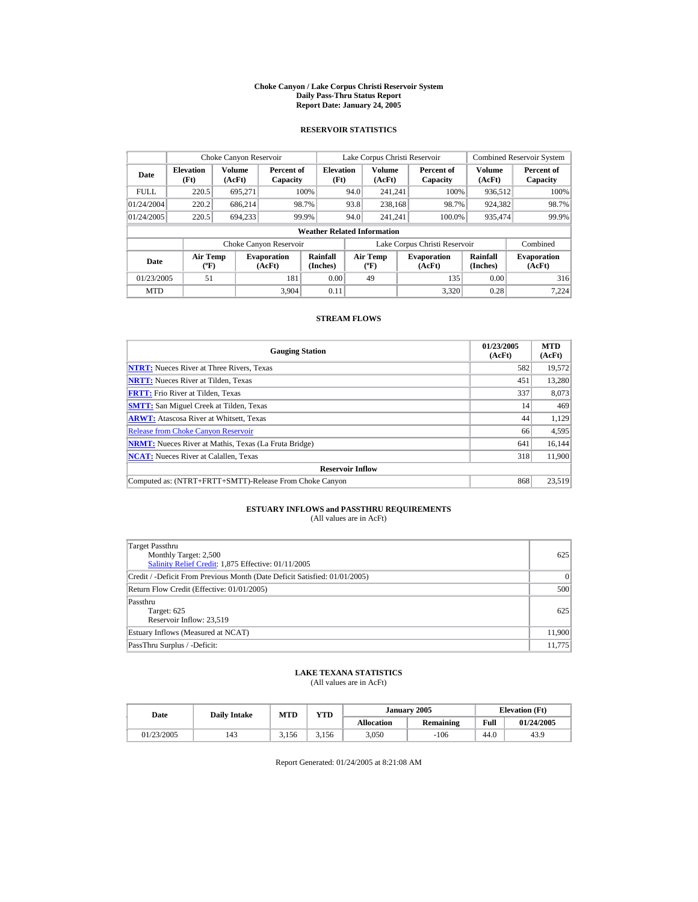#### **Choke Canyon / Lake Corpus Christi Reservoir System Daily Pass-Thru Status Report Report Date: January 24, 2005**

## **RESERVOIR STATISTICS**

|             | Choke Canyon Reservoir                                                                                                                                                                      |                  |                        |                                    |      | Lake Corpus Christi Reservoir |                               |                  | <b>Combined Reservoir System</b> |
|-------------|---------------------------------------------------------------------------------------------------------------------------------------------------------------------------------------------|------------------|------------------------|------------------------------------|------|-------------------------------|-------------------------------|------------------|----------------------------------|
| Date        | <b>Elevation</b><br>(Ft)                                                                                                                                                                    | Volume<br>(AcFt) | Percent of<br>Capacity | <b>Elevation</b><br>(Ft)           |      | <b>Volume</b><br>(AcFt)       | Percent of<br>Capacity        | Volume<br>(AcFt) | Percent of<br>Capacity           |
| <b>FULL</b> | 220.5                                                                                                                                                                                       | 695,271          |                        | 100%                               | 94.0 | 241.241                       | 100%                          | 936,512          | 100%                             |
| 01/24/2004  | 220.2                                                                                                                                                                                       | 686.214          |                        | 98.7%                              | 93.8 | 238.168                       | 98.7%                         | 924,382          | 98.7%                            |
| 01/24/2005  | 220.5                                                                                                                                                                                       | 694.233          |                        | 99.9%                              | 94.0 | 241.241                       | 100.0%                        | 935,474          | 99.9%                            |
|             |                                                                                                                                                                                             |                  |                        | <b>Weather Related Information</b> |      |                               |                               |                  |                                  |
|             |                                                                                                                                                                                             |                  | Choke Canyon Reservoir |                                    |      |                               | Lake Corpus Christi Reservoir |                  | Combined                         |
| Date        | Rainfall<br>Rainfall<br><b>Air Temp</b><br><b>Air Temp</b><br><b>Evaporation</b><br><b>Evaporation</b><br>$(^{\circ}F)$<br>(Inches)<br>(Inches)<br>(AcFt)<br>$(^{\circ}\text{F})$<br>(AcFt) |                  |                        | <b>Evaporation</b><br>(AcFt)       |      |                               |                               |                  |                                  |
| 01/23/2005  | 51                                                                                                                                                                                          |                  | 181                    | 0.00                               |      | 49                            | 135                           | 0.00             | 316                              |
| <b>MTD</b>  |                                                                                                                                                                                             |                  | 3.904                  | 0.11                               |      |                               | 3,320                         | 0.28             | 7.224                            |

## **STREAM FLOWS**

| <b>Gauging Station</b>                                       | 01/23/2005<br>(AcFt) | <b>MTD</b><br>(AcFt) |
|--------------------------------------------------------------|----------------------|----------------------|
| <b>NTRT:</b> Nueces River at Three Rivers, Texas             | 582                  | 19,572               |
| <b>NRTT:</b> Nueces River at Tilden, Texas                   | 451                  | 13.280               |
| <b>FRTT:</b> Frio River at Tilden, Texas                     | 337                  | 8,073                |
| <b>SMTT:</b> San Miguel Creek at Tilden, Texas               | 14                   | 469                  |
| <b>ARWT:</b> Atascosa River at Whitsett, Texas               | 44                   | 1,129                |
| <b>Release from Choke Canyon Reservoir</b>                   | 66                   | 4,595                |
| <b>NRMT:</b> Nueces River at Mathis, Texas (La Fruta Bridge) | 641                  | 16.144               |
| <b>NCAT:</b> Nueces River at Calallen, Texas                 | 318                  | 11.900               |
| <b>Reservoir Inflow</b>                                      |                      |                      |
| Computed as: (NTRT+FRTT+SMTT)-Release From Choke Canyon      | 868                  | 23.519               |

# **ESTUARY INFLOWS and PASSTHRU REQUIREMENTS**<br>(All values are in AcFt)

| <b>Target Passthru</b><br>Monthly Target: 2,500<br>Salinity Relief Credit: 1,875 Effective: 01/11/2005 | 625      |
|--------------------------------------------------------------------------------------------------------|----------|
| Credit / -Deficit From Previous Month (Date Deficit Satisfied: 01/01/2005)                             | $\Omega$ |
| Return Flow Credit (Effective: 01/01/2005)                                                             | 500      |
| Passthru<br>Target: 625<br>Reservoir Inflow: 23,519                                                    | 625      |
| Estuary Inflows (Measured at NCAT)                                                                     | 11,900   |
| PassThru Surplus / -Deficit:                                                                           | 11,775   |

## **LAKE TEXANA STATISTICS**

(All values are in AcFt)

| Date       | <b>Daily Intake</b> | <b>MTD</b> | <b>YTD</b> |                   | January 2005 | <b>Elevation</b> (Ft) |            |
|------------|---------------------|------------|------------|-------------------|--------------|-----------------------|------------|
|            |                     |            |            | <b>Allocation</b> | Remaining    | Full                  | 01/24/2005 |
| 01/23/2005 | 143                 | 3.156      | 3.156      | 3,050             | $-106$       | 44.0                  | 43.9       |

Report Generated: 01/24/2005 at 8:21:08 AM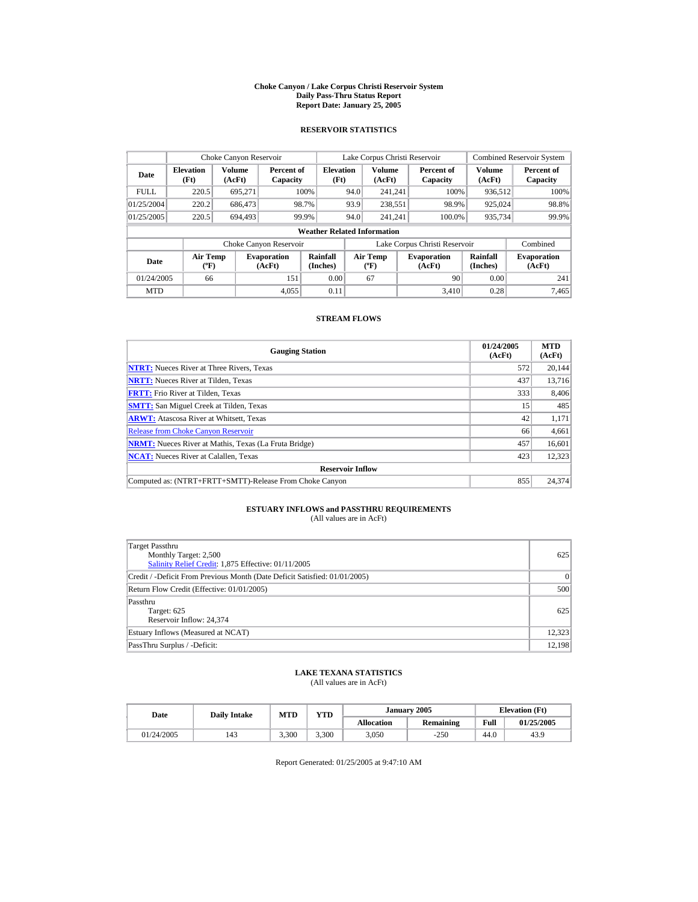#### **Choke Canyon / Lake Corpus Christi Reservoir System Daily Pass-Thru Status Report Report Date: January 25, 2005**

## **RESERVOIR STATISTICS**

|             | Choke Canyon Reservoir                |                         |                              |                                    |      | Lake Corpus Christi Reservoir     |                               |                         | <b>Combined Reservoir System</b> |
|-------------|---------------------------------------|-------------------------|------------------------------|------------------------------------|------|-----------------------------------|-------------------------------|-------------------------|----------------------------------|
| Date        | <b>Elevation</b><br>(Ft)              | <b>Volume</b><br>(AcFt) | Percent of<br>Capacity       | <b>Elevation</b><br>(Ft)           |      | <b>Volume</b><br>(AcFt)           | Percent of<br>Capacity        | <b>Volume</b><br>(AcFt) | Percent of<br>Capacity           |
| <b>FULL</b> | 220.5                                 | 695.271                 |                              | 100%                               | 94.0 | 241.241                           | 100%                          | 936,512                 | 100%                             |
| 01/25/2004  | 220.2                                 | 686,473                 |                              | 98.7%                              | 93.9 | 238,551                           | 98.9%                         | 925,024                 | 98.8%                            |
| 01/25/2005  | 220.5                                 | 694,493                 |                              | 99.9%                              | 94.0 | 241.241                           | 100.0%                        | 935,734                 | 99.9%                            |
|             |                                       |                         |                              | <b>Weather Related Information</b> |      |                                   |                               |                         |                                  |
|             |                                       |                         | Choke Canyon Reservoir       |                                    |      |                                   | Lake Corpus Christi Reservoir |                         | Combined                         |
| Date        | <b>Air Temp</b><br>$({}^o\mathrm{F})$ |                         | <b>Evaporation</b><br>(AcFt) | Rainfall<br>(Inches)               |      | Air Temp<br>$({}^{\circ}{\rm F})$ | <b>Evaporation</b><br>(AcFt)  | Rainfall<br>(Inches)    |                                  |
| 01/24/2005  | 66                                    |                         | 151                          | 0.00                               |      | 67                                | 90                            | 0.00                    | 241                              |
| <b>MTD</b>  |                                       |                         | 4,055                        | 0.11                               |      |                                   | 3.410                         | 0.28                    | 7,465                            |

## **STREAM FLOWS**

| <b>Gauging Station</b>                                       | 01/24/2005<br>(AcFt) | <b>MTD</b><br>(AcFt) |
|--------------------------------------------------------------|----------------------|----------------------|
| <b>NTRT:</b> Nueces River at Three Rivers, Texas             | 572                  | 20,144               |
| <b>NRTT:</b> Nueces River at Tilden, Texas                   | 437                  | 13.716               |
| <b>FRTT:</b> Frio River at Tilden, Texas                     | 333                  | 8,406                |
| <b>SMTT:</b> San Miguel Creek at Tilden, Texas               | 15                   | 485                  |
| <b>ARWT:</b> Atascosa River at Whitsett, Texas               | 42                   | 1,171                |
| <b>Release from Choke Canyon Reservoir</b>                   | 66                   | 4,661                |
| <b>NRMT:</b> Nueces River at Mathis, Texas (La Fruta Bridge) | 457                  | 16,601               |
| <b>NCAT:</b> Nueces River at Calallen, Texas                 | 423                  | 12.323               |
| <b>Reservoir Inflow</b>                                      |                      |                      |
| Computed as: (NTRT+FRTT+SMTT)-Release From Choke Canyon      | 855                  | 24,374               |

# **ESTUARY INFLOWS and PASSTHRU REQUIREMENTS**<br>(All values are in AcFt)

| Target Passthru<br>Monthly Target: 2,500<br>Salinity Relief Credit: 1,875 Effective: 01/11/2005 | 625       |
|-------------------------------------------------------------------------------------------------|-----------|
| Credit / -Deficit From Previous Month (Date Deficit Satisfied: 01/01/2005)                      | $\vert$ 0 |
| Return Flow Credit (Effective: 01/01/2005)                                                      | 500       |
| Passthru<br>Target: 625<br>Reservoir Inflow: 24,374                                             | 625       |
| Estuary Inflows (Measured at NCAT)                                                              | 12,323    |
| PassThru Surplus / -Deficit:                                                                    | 12,198    |

## **LAKE TEXANA STATISTICS**

(All values are in AcFt)

| Date |            | <b>Daily Intake</b> | MTD   | <b>VTD</b> |                   | January 2005 |      | <b>Elevation</b> (Ft) |
|------|------------|---------------------|-------|------------|-------------------|--------------|------|-----------------------|
|      |            |                     |       |            | <b>Allocation</b> | Remaining    | Full | 01/25/2005            |
|      | 01/24/2005 | 143                 | 3,300 | 3.300      | 3,050             | $-250$       | 44.0 | 43.9                  |

Report Generated: 01/25/2005 at 9:47:10 AM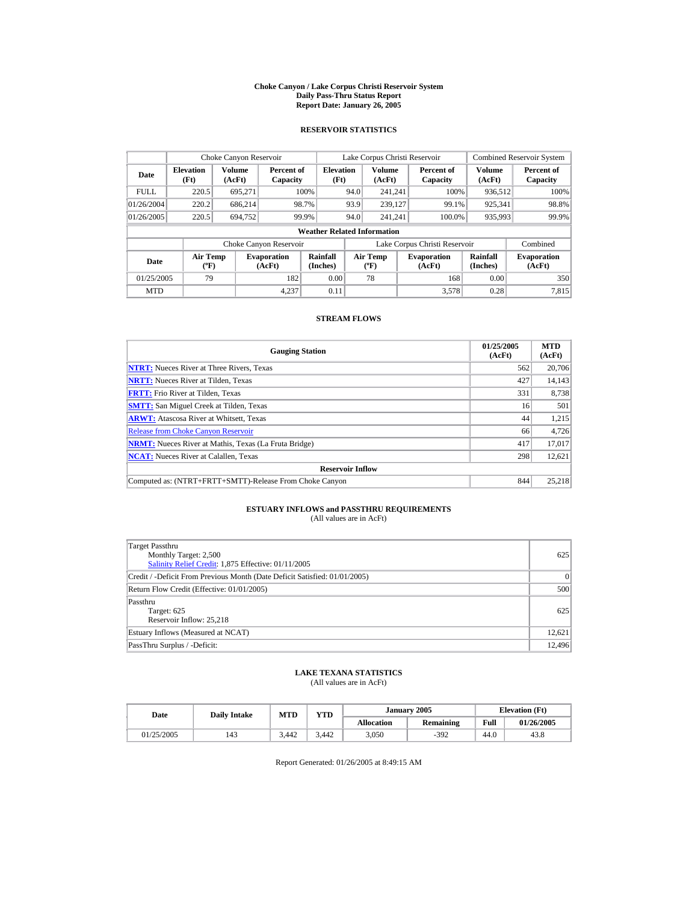#### **Choke Canyon / Lake Corpus Christi Reservoir System Daily Pass-Thru Status Report Report Date: January 26, 2005**

## **RESERVOIR STATISTICS**

| Choke Canyon Reservoir |                                             |                  |                              |                                    |      | Lake Corpus Christi Reservoir            |                                                      |                  | <b>Combined Reservoir System</b> |
|------------------------|---------------------------------------------|------------------|------------------------------|------------------------------------|------|------------------------------------------|------------------------------------------------------|------------------|----------------------------------|
| Date                   | <b>Elevation</b><br>(Ft)                    | Volume<br>(AcFt) | Percent of<br>Capacity       | <b>Elevation</b><br>(Ft)           |      | <b>Volume</b><br>(AcFt)                  | Percent of<br>Capacity                               | Volume<br>(AcFt) | Percent of<br>Capacity           |
| <b>FULL</b>            | 220.5                                       | 695.271          |                              | 100%                               | 94.0 | 241.241                                  | 100%                                                 | 936.512          | 100%                             |
| 01/26/2004             | 220.2                                       | 686.214          |                              | 98.7%                              | 93.9 | 239,127                                  | 99.1%                                                | 925,341          | 98.8%                            |
| 01/26/2005             | 220.5                                       | 694,752          |                              | 99.9%                              | 94.0 | 241.241                                  | 100.0%                                               | 935,993          | 99.9%                            |
|                        |                                             |                  |                              | <b>Weather Related Information</b> |      |                                          |                                                      |                  |                                  |
|                        |                                             |                  | Choke Canyon Reservoir       |                                    |      |                                          | Lake Corpus Christi Reservoir                        |                  | Combined                         |
| Date                   | <b>Air Temp</b><br>$({}^{\circ}\mathrm{F})$ |                  | <b>Evaporation</b><br>(AcFt) | Rainfall<br>(Inches)               |      | <b>Air Temp</b><br>$({}^{\circ}{\rm F})$ | Rainfall<br><b>Evaporation</b><br>(Inches)<br>(AcFt) |                  | <b>Evaporation</b><br>(AcFt)     |
| 01/25/2005             | 79                                          |                  | 182                          | 0.00                               |      | 78                                       | 168                                                  | 0.00             | 350                              |
| <b>MTD</b>             |                                             |                  | 4.237                        | 0.11                               |      |                                          | 3.578                                                | 0.28             | 7.815                            |

## **STREAM FLOWS**

| <b>Gauging Station</b>                                       | 01/25/2005<br>(AcFt) | <b>MTD</b><br>(AcFt) |
|--------------------------------------------------------------|----------------------|----------------------|
| <b>NTRT:</b> Nueces River at Three Rivers, Texas             | 562                  | 20,706               |
| <b>NRTT:</b> Nueces River at Tilden, Texas                   | 427                  | 14,143               |
| <b>FRTT:</b> Frio River at Tilden, Texas                     | 331                  | 8,738                |
| <b>SMTT:</b> San Miguel Creek at Tilden, Texas               | 16                   | 501                  |
| <b>ARWT:</b> Atascosa River at Whitsett, Texas               | 44                   | 1,215                |
| <b>Release from Choke Canyon Reservoir</b>                   | 66                   | 4.726                |
| <b>NRMT:</b> Nueces River at Mathis, Texas (La Fruta Bridge) | 417                  | 17.017               |
| <b>NCAT:</b> Nueces River at Calallen, Texas                 | 298                  | 12.621               |
| <b>Reservoir Inflow</b>                                      |                      |                      |
| Computed as: (NTRT+FRTT+SMTT)-Release From Choke Canyon      | 844                  | 25,218               |

# **ESTUARY INFLOWS and PASSTHRU REQUIREMENTS**<br>(All values are in AcFt)

| Target Passthru<br>Monthly Target: 2,500<br>Salinity Relief Credit: 1,875 Effective: 01/11/2005 | 625      |
|-------------------------------------------------------------------------------------------------|----------|
| Credit / -Deficit From Previous Month (Date Deficit Satisfied: 01/01/2005)                      | $\Omega$ |
| Return Flow Credit (Effective: 01/01/2005)                                                      | 500      |
| Passthru<br>Target: 625<br>Reservoir Inflow: 25,218                                             | 625      |
| Estuary Inflows (Measured at NCAT)                                                              | 12,621   |
| PassThru Surplus / -Deficit:                                                                    | 12,496   |

## **LAKE TEXANA STATISTICS**

(All values are in AcFt)

| Date       | <b>Daily Intake</b> | <b>MTD</b> | $_{\rm VTD}$ |                   | January 2005 |      | <b>Elevation</b> (Ft) |
|------------|---------------------|------------|--------------|-------------------|--------------|------|-----------------------|
|            |                     |            |              | <b>Allocation</b> | Remaining    | Full | 01/26/2005            |
| 01/25/2005 | 143                 | 3.442      | 3.442        | 3,050             | $-392$       | 44.U | 43.8                  |

Report Generated: 01/26/2005 at 8:49:15 AM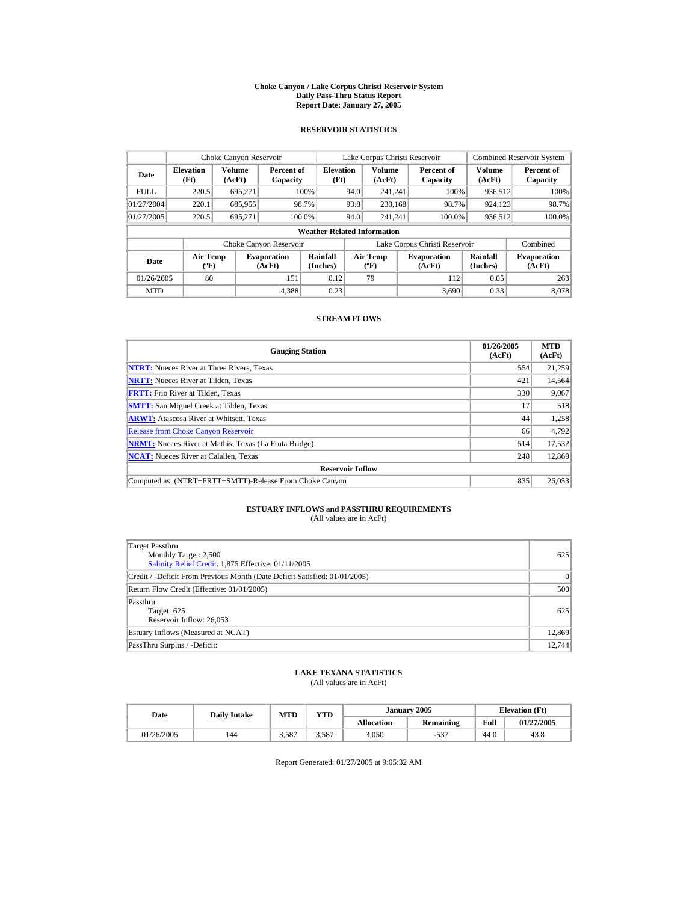#### **Choke Canyon / Lake Corpus Christi Reservoir System Daily Pass-Thru Status Report Report Date: January 27, 2005**

## **RESERVOIR STATISTICS**

|             | Choke Canyon Reservoir           |                  |                              |                                    |      | Lake Corpus Christi Reservoir               |                               |                             | <b>Combined Reservoir System</b> |
|-------------|----------------------------------|------------------|------------------------------|------------------------------------|------|---------------------------------------------|-------------------------------|-----------------------------|----------------------------------|
| Date        | <b>Elevation</b><br>(Ft)         | Volume<br>(AcFt) | Percent of<br>Capacity       | <b>Elevation</b><br>(Ft)           |      | <b>Volume</b><br>(AcFt)                     | Percent of<br>Capacity        | Volume<br>(AcFt)            | Percent of<br>Capacity           |
| <b>FULL</b> | 220.5                            | 695.271          |                              | 100%                               | 94.0 | 241.241                                     | 100%                          | 936,512                     | 100%                             |
| 01/27/2004  | 220.1                            | 685,955          |                              | 98.7%                              | 93.8 | 238.168                                     | 98.7%                         | 924,123                     | 98.7%                            |
| 01/27/2005  | 220.5                            | 695.271          |                              | 100.0%                             | 94.0 | 241.241                                     | 100.0%                        | 936,512                     | 100.0%                           |
|             |                                  |                  |                              | <b>Weather Related Information</b> |      |                                             |                               |                             |                                  |
|             |                                  |                  | Choke Canyon Reservoir       |                                    |      |                                             | Lake Corpus Christi Reservoir |                             | Combined                         |
| Date        | <b>Air Temp</b><br>$(^{\circ}F)$ |                  | <b>Evaporation</b><br>(AcFt) | Rainfall<br>(Inches)               |      | <b>Air Temp</b><br>$({}^{\circ}\mathbf{F})$ | <b>Evaporation</b><br>(AcFt)  | <b>Rainfall</b><br>(Inches) | <b>Evaporation</b><br>(AcFt)     |
| 01/26/2005  | 80                               |                  | 151                          | 0.12                               |      | 79                                          | 112                           | 0.05                        | 263                              |
| <b>MTD</b>  |                                  |                  | 4.388                        | 0.23                               |      |                                             | 3.690                         | 0.33                        | 8.078                            |

## **STREAM FLOWS**

| <b>Gauging Station</b>                                       | 01/26/2005<br>(AcFt) | <b>MTD</b><br>(AcFt) |
|--------------------------------------------------------------|----------------------|----------------------|
| <b>NTRT:</b> Nueces River at Three Rivers, Texas             | 554                  | 21,259               |
| <b>NRTT:</b> Nueces River at Tilden, Texas                   | 421                  | 14.564               |
| <b>FRTT:</b> Frio River at Tilden, Texas                     | 330                  | 9,067                |
| <b>SMTT:</b> San Miguel Creek at Tilden, Texas               | 17                   | 518                  |
| <b>ARWT:</b> Atascosa River at Whitsett, Texas               | 44                   | 1,258                |
| <b>Release from Choke Canvon Reservoir</b>                   | 66                   | 4,792                |
| <b>NRMT:</b> Nueces River at Mathis, Texas (La Fruta Bridge) | 514                  | 17,532               |
| <b>NCAT:</b> Nueces River at Calallen, Texas                 | 248                  | 12,869               |
| <b>Reservoir Inflow</b>                                      |                      |                      |
| Computed as: (NTRT+FRTT+SMTT)-Release From Choke Canyon      | 835                  | 26.053               |

# **ESTUARY INFLOWS and PASSTHRU REQUIREMENTS**<br>(All values are in AcFt)

| Target Passthru<br>Monthly Target: 2,500<br>Salinity Relief Credit: 1,875 Effective: 01/11/2005 | 625    |
|-------------------------------------------------------------------------------------------------|--------|
| Credit / -Deficit From Previous Month (Date Deficit Satisfied: 01/01/2005)                      | 0      |
| Return Flow Credit (Effective: 01/01/2005)                                                      | 500    |
| Passthru<br>Target: 625<br>Reservoir Inflow: 26,053                                             | 625    |
| Estuary Inflows (Measured at NCAT)                                                              | 12,869 |
| PassThru Surplus / -Deficit:                                                                    | 12,744 |

## **LAKE TEXANA STATISTICS**

(All values are in AcFt)

| Date       | <b>Daily Intake</b> | <b>VTD</b><br>MTD |       |                   | January 2005 | <b>Elevation</b> (Ft) |            |
|------------|---------------------|-------------------|-------|-------------------|--------------|-----------------------|------------|
|            |                     |                   |       | <b>Allocation</b> | Remaining    | Full                  | 01/27/2005 |
| 01/26/2005 | 144                 | 3,587             | 3,587 | 3,050             | 507<br>-33   | 44.0                  | 43.8       |

Report Generated: 01/27/2005 at 9:05:32 AM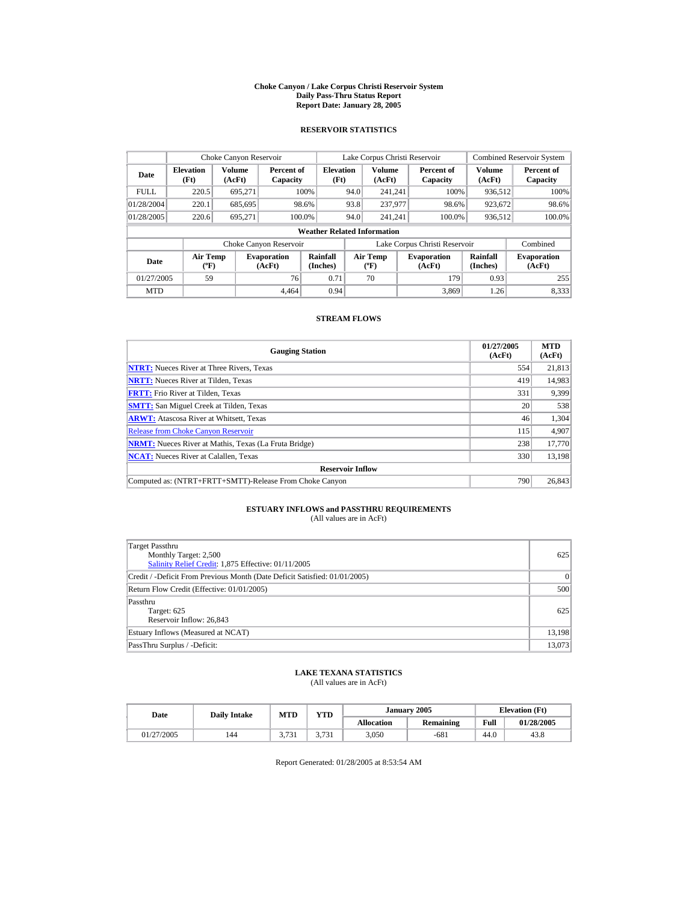#### **Choke Canyon / Lake Corpus Christi Reservoir System Daily Pass-Thru Status Report Report Date: January 28, 2005**

## **RESERVOIR STATISTICS**

| Choke Canyon Reservoir                                                              |       |                  |                             |                                    |                                          | Lake Corpus Christi Reservoir |                              |                        |                              | <b>Combined Reservoir System</b> |
|-------------------------------------------------------------------------------------|-------|------------------|-----------------------------|------------------------------------|------------------------------------------|-------------------------------|------------------------------|------------------------|------------------------------|----------------------------------|
| <b>Elevation</b><br>Date<br>(Ft)                                                    |       | Volume<br>(AcFt) | Percent of<br>Capacity      | <b>Elevation</b><br>(Ft)           |                                          | <b>Volume</b><br>(AcFt)       |                              | Percent of<br>Capacity | Volume<br>(AcFt)             | Percent of<br>Capacity           |
| <b>FULL</b>                                                                         | 220.5 | 695.271          |                             | 100%                               | 94.0                                     | 241.241                       |                              | 100%                   | 936.512                      | 100%                             |
| 01/28/2004                                                                          | 220.1 | 685,695          |                             | 98.6%                              | 93.8                                     | 237,977                       |                              | 98.6%                  | 923,672                      | 98.6%                            |
| 01/28/2005                                                                          | 220.6 | 695.271          |                             | 100.0%                             | 94.0                                     | 241.241                       |                              | 100.0%                 | 936,512                      | 100.0%                           |
|                                                                                     |       |                  |                             | <b>Weather Related Information</b> |                                          |                               |                              |                        |                              |                                  |
|                                                                                     |       |                  | Choke Canyon Reservoir      |                                    | Lake Corpus Christi Reservoir            |                               |                              |                        |                              | Combined                         |
| <b>Air Temp</b><br><b>Evaporation</b><br>Date<br>$({}^{\circ}\mathrm{F})$<br>(AcFt) |       |                  | <b>Rainfall</b><br>(Inches) |                                    | <b>Air Temp</b><br>$({}^{\circ}{\rm F})$ |                               | <b>Evaporation</b><br>(AcFt) | Rainfall<br>(Inches)   | <b>Evaporation</b><br>(AcFt) |                                  |
| 01/27/2005<br>59<br>76                                                              |       |                  |                             | 0.71                               |                                          | 70                            |                              | 179                    | 0.93                         | 255                              |
| <b>MTD</b>                                                                          |       |                  | 4.464                       | 0.94                               |                                          |                               |                              | 3.869                  | 1.26                         | 8.333                            |

## **STREAM FLOWS**

| <b>Gauging Station</b>                                       | 01/27/2005<br>(AcFt) | <b>MTD</b><br>(AcFt) |
|--------------------------------------------------------------|----------------------|----------------------|
| <b>NTRT:</b> Nueces River at Three Rivers, Texas             | 554                  | 21,813               |
| <b>NRTT:</b> Nueces River at Tilden, Texas                   | 419                  | 14,983               |
| <b>FRTT:</b> Frio River at Tilden, Texas                     | 331                  | 9.399                |
| <b>SMTT:</b> San Miguel Creek at Tilden, Texas               | 20                   | 538                  |
| <b>ARWT:</b> Atascosa River at Whitsett, Texas               | 46                   | 1,304                |
| <b>Release from Choke Canyon Reservoir</b>                   | 115                  | 4.907                |
| <b>NRMT:</b> Nueces River at Mathis, Texas (La Fruta Bridge) | 238                  | 17,770               |
| <b>NCAT:</b> Nueces River at Calallen, Texas                 | 330                  | 13,198               |
| <b>Reservoir Inflow</b>                                      |                      |                      |
| Computed as: (NTRT+FRTT+SMTT)-Release From Choke Canyon      | 790                  | 26,843               |

# **ESTUARY INFLOWS and PASSTHRU REQUIREMENTS**<br>(All values are in AcFt)

| Target Passthru<br>Monthly Target: 2,500<br>Salinity Relief Credit: 1,875 Effective: 01/11/2005 | 625       |
|-------------------------------------------------------------------------------------------------|-----------|
| Credit / -Deficit From Previous Month (Date Deficit Satisfied: 01/01/2005)                      | $\vert$ 0 |
| Return Flow Credit (Effective: 01/01/2005)                                                      | 500       |
| Passthru<br>Target: 625<br>Reservoir Inflow: 26,843                                             | 625       |
| Estuary Inflows (Measured at NCAT)                                                              | 13,198    |
| PassThru Surplus / -Deficit:                                                                    | 13,073    |

## **LAKE TEXANA STATISTICS**

(All values are in AcFt)

| Date       | <b>Daily Intake</b> | <b>VTD</b><br>MTD |                  |                   | January 2005 |      | <b>Elevation</b> (Ft) |
|------------|---------------------|-------------------|------------------|-------------------|--------------|------|-----------------------|
|            |                     |                   |                  | <b>Allocation</b> | Remaining    | Full | 01/28/2005            |
| 01/27/2005 | 144                 | 3.731             | 3731<br><u>.</u> | 3,050             | $-681$       | 44.0 | 43.8                  |

Report Generated: 01/28/2005 at 8:53:54 AM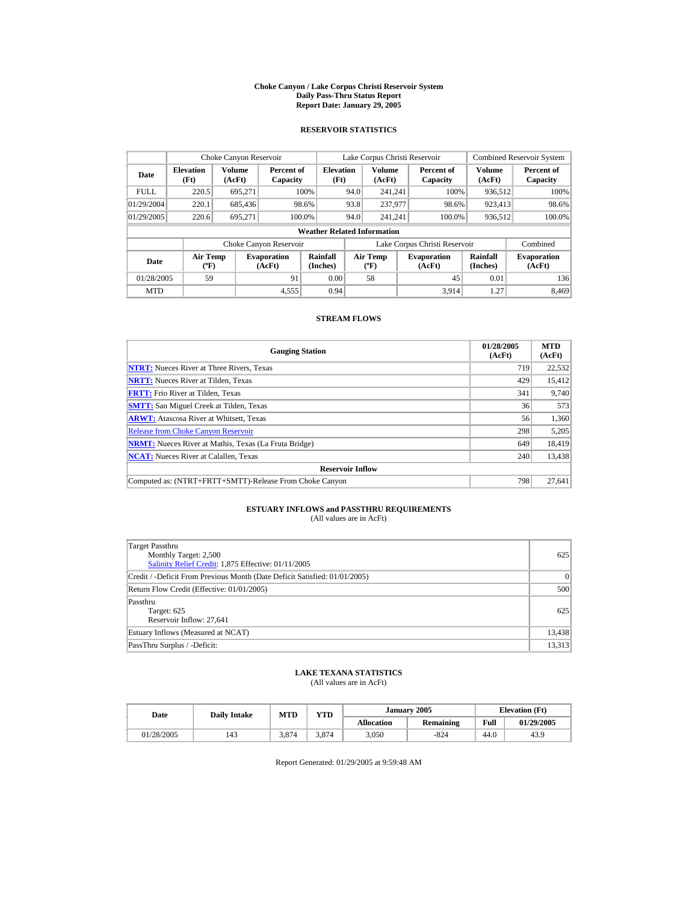#### **Choke Canyon / Lake Corpus Christi Reservoir System Daily Pass-Thru Status Report Report Date: January 29, 2005**

## **RESERVOIR STATISTICS**

|                                                                          | Choke Canyon Reservoir |                  |                        |                                    |                                         | Lake Corpus Christi Reservoir |                              |                        |                              | <b>Combined Reservoir System</b> |
|--------------------------------------------------------------------------|------------------------|------------------|------------------------|------------------------------------|-----------------------------------------|-------------------------------|------------------------------|------------------------|------------------------------|----------------------------------|
| <b>Elevation</b><br>Date<br>(Ft)                                         |                        | Volume<br>(AcFt) | Percent of<br>Capacity | <b>Elevation</b><br>(Ft)           |                                         | <b>Volume</b><br>(AcFt)       |                              | Percent of<br>Capacity | Volume<br>(AcFt)             | Percent of<br>Capacity           |
| <b>FULL</b>                                                              | 220.5                  | 695,271          |                        | 100%                               | 94.0                                    | 241.241                       |                              | 100%                   | 936,512                      | 100%                             |
| 01/29/2004                                                               | 220.1                  | 685,436          |                        | 98.6%                              | 93.8                                    | 237,977                       |                              | 98.6%                  | 923,413                      | 98.6%                            |
| 01/29/2005                                                               | 220.6                  | 695.271          | 100.0%                 |                                    | 94.0                                    | 241.241                       |                              | 100.0%                 | 936,512                      | 100.0%                           |
|                                                                          |                        |                  |                        | <b>Weather Related Information</b> |                                         |                               |                              |                        |                              |                                  |
|                                                                          |                        |                  | Choke Canyon Reservoir |                                    | Lake Corpus Christi Reservoir           |                               |                              |                        |                              | Combined                         |
| <b>Air Temp</b><br><b>Evaporation</b><br>Date<br>$(^{\circ}F)$<br>(AcFt) |                        |                  | Rainfall<br>(Inches)   |                                    | <b>Air Temp</b><br>$(^{\circ}\text{F})$ |                               | <b>Evaporation</b><br>(AcFt) | Rainfall<br>(Inches)   | <b>Evaporation</b><br>(AcFt) |                                  |
| 59<br>91<br>01/28/2005                                                   |                        |                  |                        | 0.00                               |                                         | 58                            |                              | 45                     | 0.01                         | 136                              |
| <b>MTD</b>                                                               |                        |                  | 4,555                  | 0.94                               |                                         |                               |                              | 3.914                  | 1.27                         | 8.469                            |

## **STREAM FLOWS**

| <b>Gauging Station</b>                                       | 01/28/2005<br>(AcFt) | <b>MTD</b><br>(AcFt) |
|--------------------------------------------------------------|----------------------|----------------------|
| <b>NTRT:</b> Nueces River at Three Rivers, Texas             | 719                  | 22,532               |
| <b>NRTT:</b> Nueces River at Tilden, Texas                   | 429                  | 15,412               |
| <b>FRTT:</b> Frio River at Tilden, Texas                     | 341                  | 9,740                |
| <b>SMTT:</b> San Miguel Creek at Tilden, Texas               | 36                   | 573                  |
| <b>ARWT:</b> Atascosa River at Whitsett, Texas               | 56                   | 1,360                |
| <b>Release from Choke Canyon Reservoir</b>                   | 298                  | 5,205                |
| <b>NRMT:</b> Nueces River at Mathis, Texas (La Fruta Bridge) | 649                  | 18.419               |
| <b>NCAT:</b> Nueces River at Calallen, Texas                 | 240                  | 13,438               |
| <b>Reservoir Inflow</b>                                      |                      |                      |
| Computed as: (NTRT+FRTT+SMTT)-Release From Choke Canyon      | 798                  | 27.641               |

# **ESTUARY INFLOWS and PASSTHRU REQUIREMENTS**<br>(All values are in AcFt)

| <b>Target Passthru</b><br>Monthly Target: 2,500<br>Salinity Relief Credit: 1,875 Effective: 01/11/2005 | 625       |
|--------------------------------------------------------------------------------------------------------|-----------|
| Credit / -Deficit From Previous Month (Date Deficit Satisfied: 01/01/2005)                             | $\vert$ 0 |
| Return Flow Credit (Effective: 01/01/2005)                                                             | 500       |
| Passthru<br>Target: 625<br>Reservoir Inflow: 27,641                                                    | 625       |
| Estuary Inflows (Measured at NCAT)                                                                     | 13,438    |
| PassThru Surplus / -Deficit:                                                                           | 13,313    |

## **LAKE TEXANA STATISTICS**

(All values are in AcFt)

| Date       | <b>Daily Intake</b> | MTD   | VTD   |                   | January 2005 |      | <b>Elevation</b> (Ft) |
|------------|---------------------|-------|-------|-------------------|--------------|------|-----------------------|
|            |                     |       |       | <b>Allocation</b> | Remaining    | Full | 01/29/2005            |
| 01/28/2005 | 143                 | 3.874 | 3.874 | 3,050             | $-824$       | 44.0 | 43.9                  |

Report Generated: 01/29/2005 at 9:59:48 AM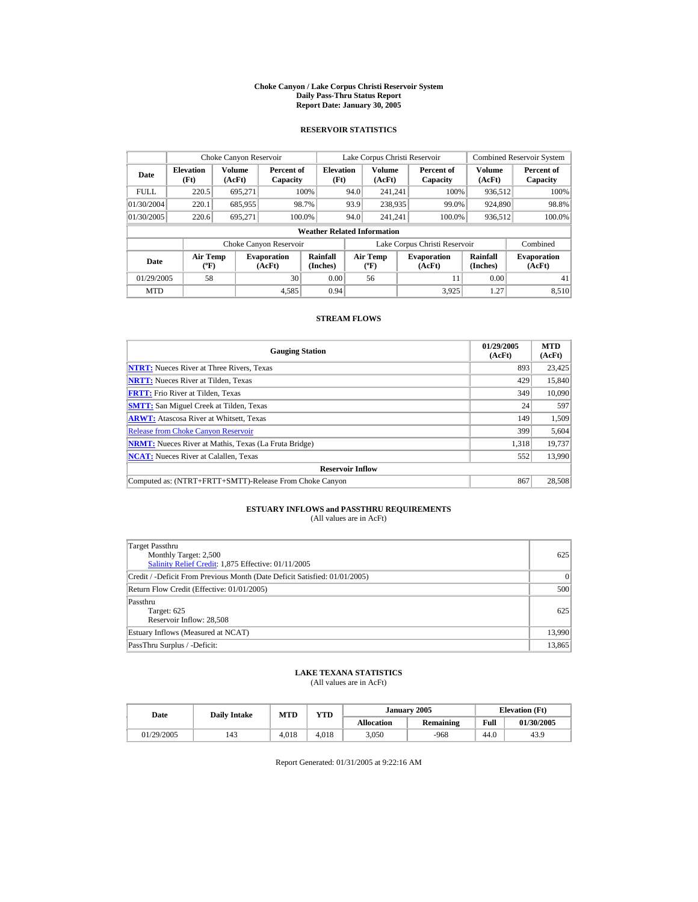#### **Choke Canyon / Lake Corpus Christi Reservoir System Daily Pass-Thru Status Report Report Date: January 30, 2005**

## **RESERVOIR STATISTICS**

|                                                                               | Choke Canyon Reservoir |                  |                        |                                    |                                                  | Lake Corpus Christi Reservoir |                              |                        |                              | <b>Combined Reservoir System</b> |
|-------------------------------------------------------------------------------|------------------------|------------------|------------------------|------------------------------------|--------------------------------------------------|-------------------------------|------------------------------|------------------------|------------------------------|----------------------------------|
| <b>Elevation</b><br>Date<br>(Ft)                                              |                        | Volume<br>(AcFt) | Percent of<br>Capacity | <b>Elevation</b><br>(Ft)           |                                                  | <b>Volume</b><br>(AcFt)       |                              | Percent of<br>Capacity | Volume<br>(AcFt)             | Percent of<br>Capacity           |
| <b>FULL</b>                                                                   | 220.5                  | 695.271          |                        | 100%                               | 94.0                                             | 241.241                       |                              | 100%                   | 936.512                      | 100%                             |
| 01/30/2004                                                                    | 220.1                  | 685.955          |                        | 98.7%                              | 93.9                                             | 238,935                       |                              | 99.0%                  | 924,890                      | 98.8%                            |
| 01/30/2005                                                                    | 220.6                  | 695.271          | 100.0%                 |                                    | 94.0                                             | 241.241                       |                              | 100.0%                 | 936,512                      | 100.0%                           |
|                                                                               |                        |                  |                        | <b>Weather Related Information</b> |                                                  |                               |                              |                        |                              |                                  |
|                                                                               |                        |                  | Choke Canyon Reservoir |                                    | Lake Corpus Christi Reservoir                    |                               |                              |                        |                              | Combined                         |
| <b>Air Temp</b><br><b>Evaporation</b><br>Date<br>$({}^o\mathrm{F})$<br>(AcFt) |                        |                  | Rainfall<br>(Inches)   |                                    | <b>Air Temp</b><br>$({}^{\mathrm{o}}\mathrm{F})$ |                               | <b>Evaporation</b><br>(AcFt) | Rainfall<br>(Inches)   | <b>Evaporation</b><br>(AcFt) |                                  |
| 01/29/2005<br>58<br>30                                                        |                        |                  | 0.00                   |                                    | 56                                               |                               | 11                           | 0.00                   | 41                           |                                  |
| <b>MTD</b>                                                                    |                        |                  | 4,585                  | 0.94                               |                                                  |                               |                              | 3.925                  | 1.27                         | 8.510                            |

## **STREAM FLOWS**

| <b>Gauging Station</b>                                       | 01/29/2005<br>(AcFt) | <b>MTD</b><br>(AcFt) |
|--------------------------------------------------------------|----------------------|----------------------|
| <b>NTRT:</b> Nueces River at Three Rivers, Texas             | 893                  | 23,425               |
| <b>NRTT:</b> Nueces River at Tilden, Texas                   | 429                  | 15,840               |
| <b>FRTT:</b> Frio River at Tilden, Texas                     | 349                  | 10,090               |
| <b>SMTT:</b> San Miguel Creek at Tilden, Texas               | 24                   | 597                  |
| <b>ARWT:</b> Atascosa River at Whitsett, Texas               | 149                  | 1,509                |
| <b>Release from Choke Canyon Reservoir</b>                   | 399                  | 5,604                |
| <b>NRMT:</b> Nueces River at Mathis, Texas (La Fruta Bridge) | 1.318                | 19,737               |
| <b>NCAT:</b> Nueces River at Calallen, Texas                 | 552                  | 13,990               |
| <b>Reservoir Inflow</b>                                      |                      |                      |
| Computed as: (NTRT+FRTT+SMTT)-Release From Choke Canyon      | 867                  | 28,508               |

# **ESTUARY INFLOWS and PASSTHRU REQUIREMENTS**<br>(All values are in AcFt)

| Target Passthru<br>Monthly Target: 2,500<br>Salinity Relief Credit: 1,875 Effective: 01/11/2005 | 625      |
|-------------------------------------------------------------------------------------------------|----------|
| Credit / -Deficit From Previous Month (Date Deficit Satisfied: 01/01/2005)                      | $\Omega$ |
| Return Flow Credit (Effective: 01/01/2005)                                                      | 500      |
| Passthru<br>Target: 625<br>Reservoir Inflow: 28,508                                             | 625      |
| Estuary Inflows (Measured at NCAT)                                                              | 13,990   |
| PassThru Surplus / -Deficit:                                                                    | 13,865   |

## **LAKE TEXANA STATISTICS**

(All values are in AcFt)

| Date       | MTD<br><b>Daily Intake</b> |       | <b>YTD</b> |                   | January 2005 | <b>Elevation</b> (Ft) |            |
|------------|----------------------------|-------|------------|-------------------|--------------|-----------------------|------------|
|            |                            |       |            | <b>Allocation</b> | Remaining    | Full                  | 01/30/2005 |
| 01/29/2005 | 143                        | 4.018 | 4.018      | 3,050             | -968         | 44.0                  | 43.9       |

Report Generated: 01/31/2005 at 9:22:16 AM